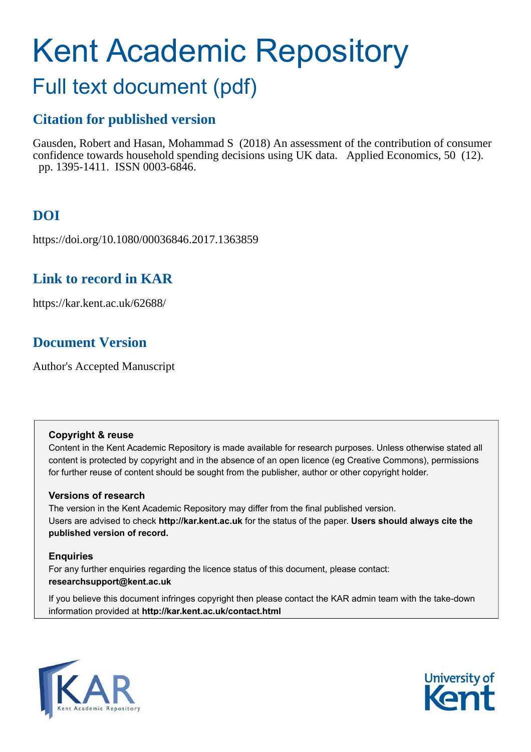# Kent Academic Repository

# Full text document (pdf)

# **Citation for published version**

Gausden, Robert and Hasan, Mohammad S (2018) An assessment of the contribution of consumer confidence towards household spending decisions using UK data. Applied Economics, 50 (12). pp. 1395-1411. ISSN 0003-6846.

# **DOI**

https://doi.org/10.1080/00036846.2017.1363859

# **Link to record in KAR**

https://kar.kent.ac.uk/62688/

# **Document Version**

Author's Accepted Manuscript

## **Copyright & reuse**

Content in the Kent Academic Repository is made available for research purposes. Unless otherwise stated all content is protected by copyright and in the absence of an open licence (eg Creative Commons), permissions for further reuse of content should be sought from the publisher, author or other copyright holder.

## **Versions of research**

The version in the Kent Academic Repository may differ from the final published version. Users are advised to check **http://kar.kent.ac.uk** for the status of the paper. **Users should always cite the published version of record.**

## **Enquiries**

For any further enquiries regarding the licence status of this document, please contact: **researchsupport@kent.ac.uk**

If you believe this document infringes copyright then please contact the KAR admin team with the take-down information provided at **http://kar.kent.ac.uk/contact.html**



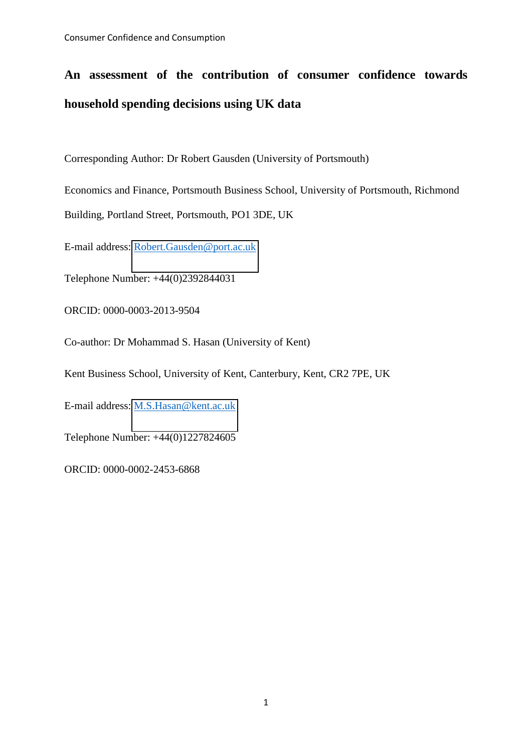# **An assessment of the contribution of consumer confidence towards household spending decisions using UK data**

Corresponding Author: Dr Robert Gausden (University of Portsmouth)

Economics and Finance, Portsmouth Business School, University of Portsmouth, Richmond

Building, Portland Street, Portsmouth, PO1 3DE, UK

E-mail address: [Robert.Gausden@port.ac.uk](mailto:Robert.Gausden@port.ac.uk)

Telephone Number: +44(0)2392844031

ORCID: 0000-0003-2013-9504

Co-author: Dr Mohammad S. Hasan (University of Kent)

Kent Business School, University of Kent, Canterbury, Kent, CR2 7PE, UK

E-mail address: [M.S.Hasan@kent.ac.uk](mailto:M.S.Hasan@kent.ac.uk)

Telephone Number: +44(0)1227824605

ORCID: 0000-0002-2453-6868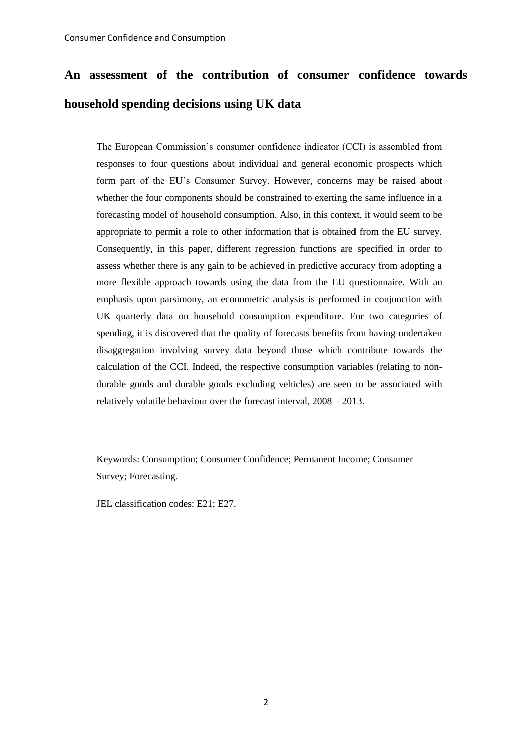# **An assessment of the contribution of consumer confidence towards household spending decisions using UK data**

The European Commission's consumer confidence indicator (CCI) is assembled from responses to four questions about individual and general economic prospects which form part of the EU's Consumer Survey. However, concerns may be raised about whether the four components should be constrained to exerting the same influence in a forecasting model of household consumption. Also, in this context, it would seem to be appropriate to permit a role to other information that is obtained from the EU survey. Consequently, in this paper, different regression functions are specified in order to assess whether there is any gain to be achieved in predictive accuracy from adopting a more flexible approach towards using the data from the EU questionnaire. With an emphasis upon parsimony, an econometric analysis is performed in conjunction with UK quarterly data on household consumption expenditure. For two categories of spending, it is discovered that the quality of forecasts benefits from having undertaken disaggregation involving survey data beyond those which contribute towards the calculation of the CCI. Indeed, the respective consumption variables (relating to nondurable goods and durable goods excluding vehicles) are seen to be associated with relatively volatile behaviour over the forecast interval, 2008 – 2013.

Keywords: Consumption; Consumer Confidence; Permanent Income; Consumer Survey; Forecasting.

JEL classification codes: E21; E27.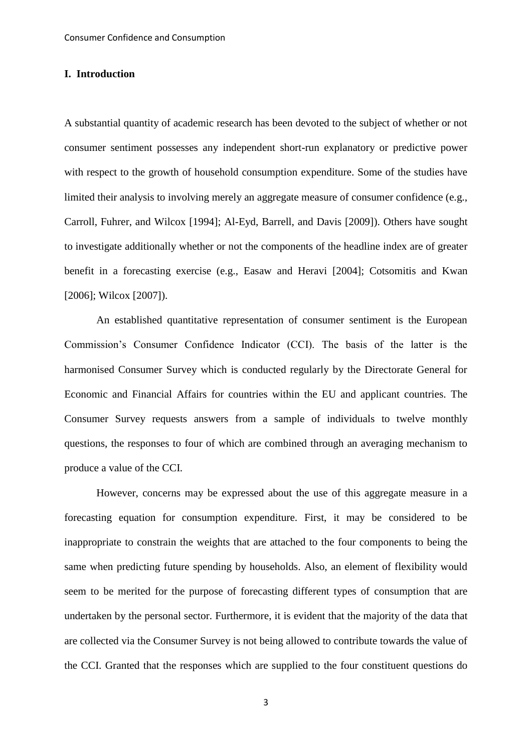#### **I. Introduction**

A substantial quantity of academic research has been devoted to the subject of whether or not consumer sentiment possesses any independent short-run explanatory or predictive power with respect to the growth of household consumption expenditure. Some of the studies have limited their analysis to involving merely an aggregate measure of consumer confidence (e.g., Carroll, Fuhrer, and Wilcox [1994]; Al-Eyd, Barrell, and Davis [2009]). Others have sought to investigate additionally whether or not the components of the headline index are of greater benefit in a forecasting exercise (e.g., Easaw and Heravi [2004]; Cotsomitis and Kwan [2006]; Wilcox [2007]).

An established quantitative representation of consumer sentiment is the European Commission's Consumer Confidence Indicator (CCI). The basis of the latter is the harmonised Consumer Survey which is conducted regularly by the Directorate General for Economic and Financial Affairs for countries within the EU and applicant countries. The Consumer Survey requests answers from a sample of individuals to twelve monthly questions, the responses to four of which are combined through an averaging mechanism to produce a value of the CCI.

However, concerns may be expressed about the use of this aggregate measure in a forecasting equation for consumption expenditure. First, it may be considered to be inappropriate to constrain the weights that are attached to the four components to being the same when predicting future spending by households. Also, an element of flexibility would seem to be merited for the purpose of forecasting different types of consumption that are undertaken by the personal sector. Furthermore, it is evident that the majority of the data that are collected via the Consumer Survey is not being allowed to contribute towards the value of the CCI. Granted that the responses which are supplied to the four constituent questions do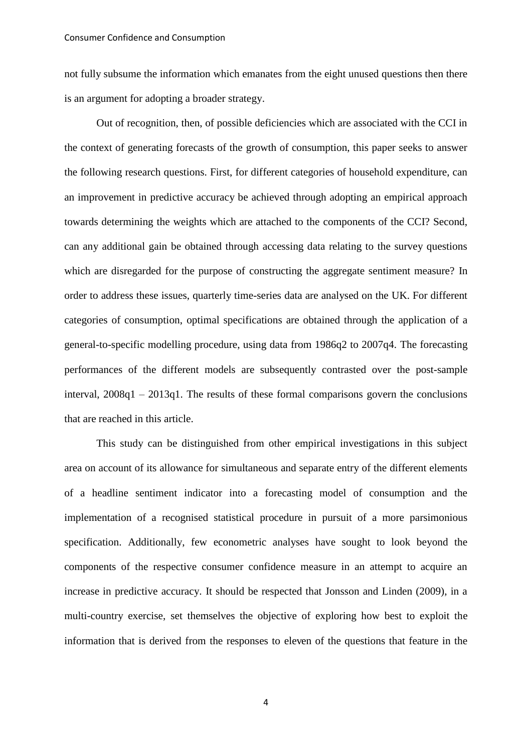not fully subsume the information which emanates from the eight unused questions then there is an argument for adopting a broader strategy.

Out of recognition, then, of possible deficiencies which are associated with the CCI in the context of generating forecasts of the growth of consumption, this paper seeks to answer the following research questions. First, for different categories of household expenditure, can an improvement in predictive accuracy be achieved through adopting an empirical approach towards determining the weights which are attached to the components of the CCI? Second, can any additional gain be obtained through accessing data relating to the survey questions which are disregarded for the purpose of constructing the aggregate sentiment measure? In order to address these issues, quarterly time-series data are analysed on the UK. For different categories of consumption, optimal specifications are obtained through the application of a general-to-specific modelling procedure, using data from 1986q2 to 2007q4. The forecasting performances of the different models are subsequently contrasted over the post-sample interval, 2008q1 – 2013q1. The results of these formal comparisons govern the conclusions that are reached in this article.

This study can be distinguished from other empirical investigations in this subject area on account of its allowance for simultaneous and separate entry of the different elements of a headline sentiment indicator into a forecasting model of consumption and the implementation of a recognised statistical procedure in pursuit of a more parsimonious specification. Additionally, few econometric analyses have sought to look beyond the components of the respective consumer confidence measure in an attempt to acquire an increase in predictive accuracy. It should be respected that Jonsson and Linden (2009), in a multi-country exercise, set themselves the objective of exploring how best to exploit the information that is derived from the responses to eleven of the questions that feature in the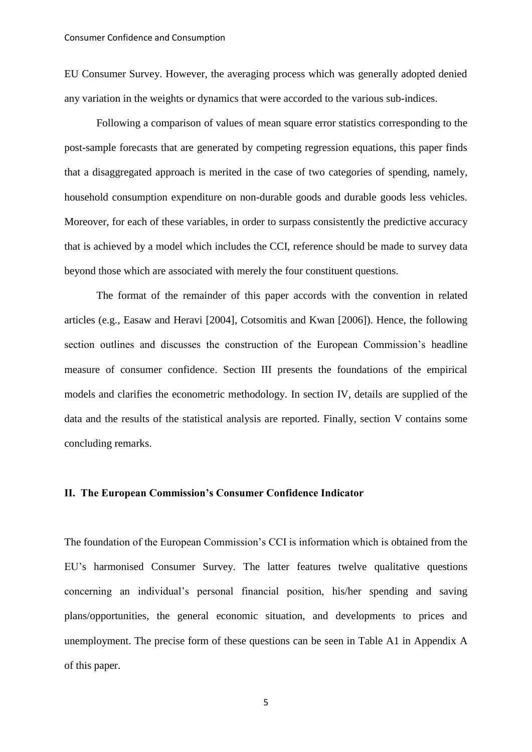EU Consumer Survey. However, the averaging process which was generally adopted denied any variation in the weights or dynamics that were accorded to the various sub-indices.

Following a comparison of values of mean square error statistics corresponding to the post-sample forecasts that are generated by competing regression equations, this paper finds that a disaggregated approach is merited in the case of two categories of spending, namely, household consumption expenditure on non-durable goods and durable goods less vehicles. Moreover, for each of these variables, in order to surpass consistently the predictive accuracy that is achieved by a model which includes the CCI, reference should be made to survey data beyond those which are associated with merely the four constituent questions.

The format of the remainder of this paper accords with the convention in related articles (e.g., Easaw and Heravi [2004], Cotsomitis and Kwan [2006]). Hence, the following section outlines and discusses the construction of the European Commission's headline measure of consumer confidence. Section III presents the foundations of the empirical models and clarifies the econometric methodology. In section IV, details are supplied of the data and the results of the statistical analysis are reported. Finally, section V contains some concluding remarks.

#### **II. The European Commission's Consumer Confidence Indicator**

The foundation of the European Commission's CCI is information which is obtained from the EU's harmonised Consumer Survey. The latter features twelve qualitative questions concerning an individual's personal financial position, his/her spending and saving plans/opportunities, the general economic situation, and developments to prices and unemployment. The precise form of these questions can be seen in Table A1 in Appendix A of this paper.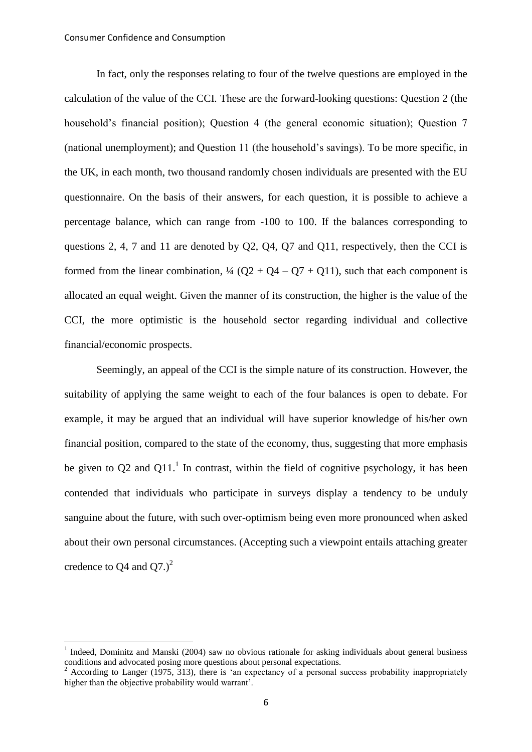-

In fact, only the responses relating to four of the twelve questions are employed in the calculation of the value of the CCI. These are the forward-looking questions: Question 2 (the household's financial position); Question 4 (the general economic situation); Question 7 (national unemployment); and Question 11 (the household's savings). To be more specific, in the UK, in each month, two thousand randomly chosen individuals are presented with the EU questionnaire. On the basis of their answers, for each question, it is possible to achieve a percentage balance, which can range from -100 to 100. If the balances corresponding to questions 2, 4, 7 and 11 are denoted by Q2, Q4, Q7 and Q11, respectively, then the CCI is formed from the linear combination,  $\frac{1}{4}$  (Q2 + Q4 – Q7 + Q11), such that each component is allocated an equal weight. Given the manner of its construction, the higher is the value of the CCI, the more optimistic is the household sector regarding individual and collective financial/economic prospects.

Seemingly, an appeal of the CCI is the simple nature of its construction. However, the suitability of applying the same weight to each of the four balances is open to debate. For example, it may be argued that an individual will have superior knowledge of his/her own financial position, compared to the state of the economy, thus, suggesting that more emphasis be given to Q2 and Q11.<sup>1</sup> In contrast, within the field of cognitive psychology, it has been contended that individuals who participate in surveys display a tendency to be unduly sanguine about the future, with such over-optimism being even more pronounced when asked about their own personal circumstances. (Accepting such a viewpoint entails attaching greater credence to Q4 and  $Q7.<sup>2</sup>$ 

<sup>1</sup> Indeed, Dominitz and Manski (2004) saw no obvious rationale for asking individuals about general business conditions and advocated posing more questions about personal expectations.<br>
<sup>2</sup> According to Langer (1975, 212), there is 'en avneateney of a personal.

According to Langer (1975, 313), there is 'an expectancy of a personal success probability inappropriately higher than the objective probability would warrant'.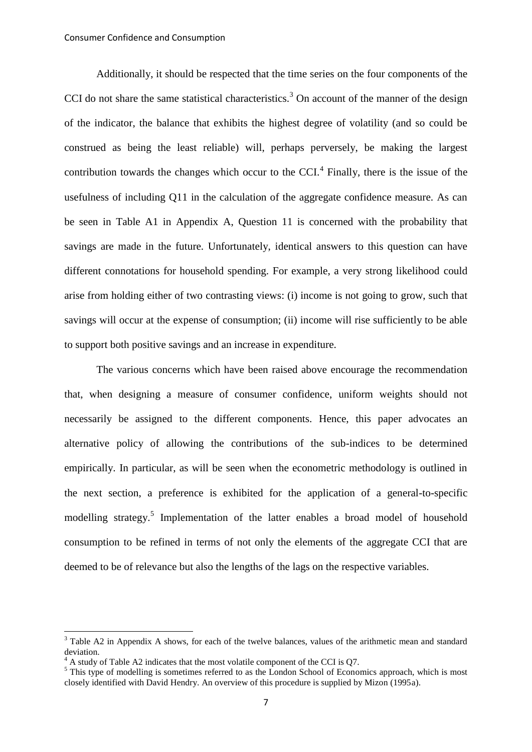Additionally, it should be respected that the time series on the four components of the CCI do not share the same statistical characteristics.<sup>3</sup> On account of the manner of the design of the indicator, the balance that exhibits the highest degree of volatility (and so could be construed as being the least reliable) will, perhaps perversely, be making the largest contribution towards the changes which occur to the  $CCI<sup>4</sup>$  Finally, there is the issue of the usefulness of including Q11 in the calculation of the aggregate confidence measure. As can be seen in Table A1 in Appendix A, Question 11 is concerned with the probability that savings are made in the future. Unfortunately, identical answers to this question can have different connotations for household spending. For example, a very strong likelihood could arise from holding either of two contrasting views: (i) income is not going to grow, such that savings will occur at the expense of consumption; (ii) income will rise sufficiently to be able to support both positive savings and an increase in expenditure.

The various concerns which have been raised above encourage the recommendation that, when designing a measure of consumer confidence, uniform weights should not necessarily be assigned to the different components. Hence, this paper advocates an alternative policy of allowing the contributions of the sub-indices to be determined empirically. In particular, as will be seen when the econometric methodology is outlined in the next section, a preference is exhibited for the application of a general-to-specific modelling strategy.<sup>5</sup> Implementation of the latter enables a broad model of household consumption to be refined in terms of not only the elements of the aggregate CCI that are deemed to be of relevance but also the lengths of the lags on the respective variables.

<sup>&</sup>lt;sup>3</sup> Table A2 in Appendix A shows, for each of the twelve balances, values of the arithmetic mean and standard deviation.

<sup>4</sup> A study of Table A2 indicates that the most volatile component of the CCI is Q7.

<sup>&</sup>lt;sup>5</sup> This type of modelling is sometimes referred to as the London School of Economics approach, which is most closely identified with David Hendry. An overview of this procedure is supplied by Mizon (1995a).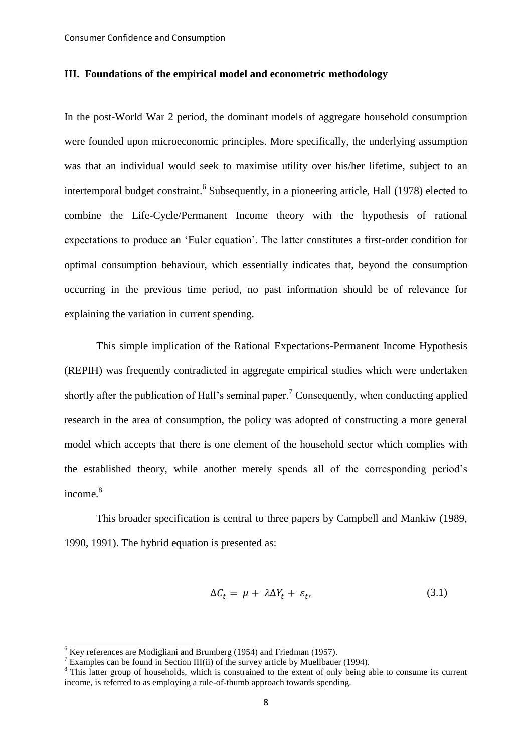#### **III. Foundations of the empirical model and econometric methodology**

In the post-World War 2 period, the dominant models of aggregate household consumption were founded upon microeconomic principles. More specifically, the underlying assumption was that an individual would seek to maximise utility over his/her lifetime, subject to an intertemporal budget constraint.<sup>6</sup> Subsequently, in a pioneering article, Hall (1978) elected to combine the Life-Cycle/Permanent Income theory with the hypothesis of rational expectations to produce an 'Euler equation'. The latter constitutes a first-order condition for optimal consumption behaviour, which essentially indicates that, beyond the consumption occurring in the previous time period, no past information should be of relevance for explaining the variation in current spending.

This simple implication of the Rational Expectations-Permanent Income Hypothesis (REPIH) was frequently contradicted in aggregate empirical studies which were undertaken shortly after the publication of Hall's seminal paper.<sup>7</sup> Consequently, when conducting applied research in the area of consumption, the policy was adopted of constructing a more general model which accepts that there is one element of the household sector which complies with the established theory, while another merely spends all of the corresponding period's income.<sup>8</sup>

This broader specification is central to three papers by Campbell and Mankiw (1989, 1990, 1991). The hybrid equation is presented as:

$$
\Delta C_t = \mu + \lambda \Delta Y_t + \varepsilon_t, \tag{3.1}
$$

-

 $6$  Key references are Modigliani and Brumberg (1954) and Friedman (1957).

<sup>&</sup>lt;sup>7</sup> Examples can be found in Section III(ii) of the survey article by Muellbauer (1994).

<sup>&</sup>lt;sup>8</sup> This latter group of households, which is constrained to the extent of only being able to consume its current income, is referred to as employing a rule-of-thumb approach towards spending.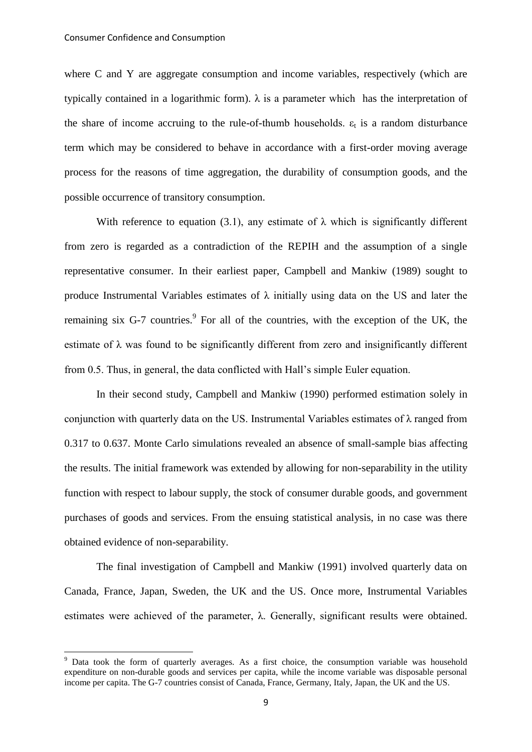<u>.</u>

where C and Y are aggregate consumption and income variables, respectively (which are typically contained in a logarithmic form).  $\lambda$  is a parameter which has the interpretation of the share of income accruing to the rule-of-thumb households.  $\varepsilon_t$  is a random disturbance term which may be considered to behave in accordance with a first-order moving average process for the reasons of time aggregation, the durability of consumption goods, and the possible occurrence of transitory consumption.

With reference to equation (3.1), any estimate of  $\lambda$  which is significantly different from zero is regarded as a contradiction of the REPIH and the assumption of a single representative consumer. In their earliest paper, Campbell and Mankiw (1989) sought to produce Instrumental Variables estimates of  $\lambda$  initially using data on the US and later the remaining six  $G-7$  countries.<sup>9</sup> For all of the countries, with the exception of the UK, the estimate of  $\lambda$  was found to be significantly different from zero and insignificantly different from 0.5. Thus, in general, the data conflicted with Hall's simple Euler equation.

In their second study, Campbell and Mankiw (1990) performed estimation solely in conjunction with quarterly data on the US. Instrumental Variables estimates of  $\lambda$  ranged from 0.317 to 0.637. Monte Carlo simulations revealed an absence of small-sample bias affecting the results. The initial framework was extended by allowing for non-separability in the utility function with respect to labour supply, the stock of consumer durable goods, and government purchases of goods and services. From the ensuing statistical analysis, in no case was there obtained evidence of non-separability.

The final investigation of Campbell and Mankiw (1991) involved quarterly data on Canada, France, Japan, Sweden, the UK and the US. Once more, Instrumental Variables estimates were achieved of the parameter,  $\lambda$ . Generally, significant results were obtained.

<sup>&</sup>lt;sup>9</sup> Data took the form of quarterly averages. As a first choice, the consumption variable was household expenditure on non-durable goods and services per capita, while the income variable was disposable personal income per capita. The G-7 countries consist of Canada, France, Germany, Italy, Japan, the UK and the US.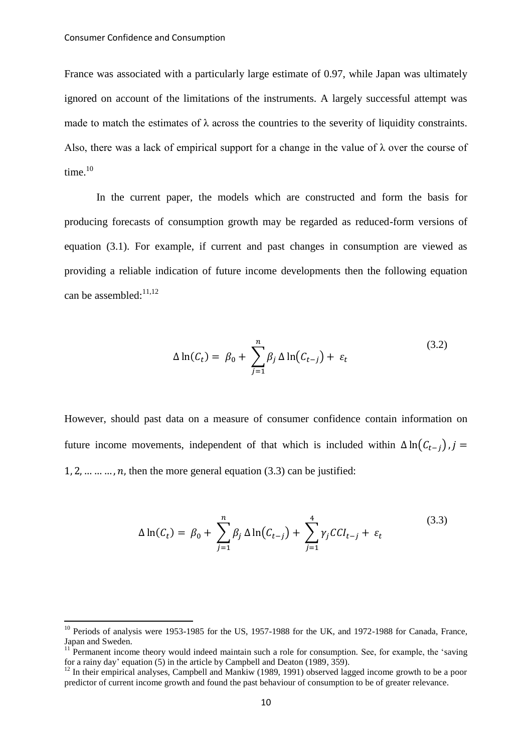<u>.</u>

France was associated with a particularly large estimate of 0.97, while Japan was ultimately ignored on account of the limitations of the instruments. A largely successful attempt was made to match the estimates of  $\lambda$  across the countries to the severity of liquidity constraints. Also, there was a lack of empirical support for a change in the value of  $\lambda$  over the course of time.<sup>10</sup>

In the current paper, the models which are constructed and form the basis for producing forecasts of consumption growth may be regarded as reduced-form versions of equation (3.1). For example, if current and past changes in consumption are viewed as providing a reliable indication of future income developments then the following equation can be assembled: $11,12$ 

$$
\Delta \ln(C_t) = \beta_0 + \sum_{j=1}^n \beta_j \Delta \ln(C_{t-j}) + \varepsilon_t \tag{3.2}
$$

However, should past data on a measure of consumer confidence contain information on future income movements, independent of that which is included within  $\Delta \ln(C_{t-i})$ ,  $i =$  $1, 2, \ldots, n$ , then the more general equation (3.3) can be justified:

$$
\Delta \ln(C_t) = \beta_0 + \sum_{j=1}^n \beta_j \Delta \ln(C_{t-j}) + \sum_{j=1}^4 \gamma_j C C I_{t-j} + \varepsilon_t \tag{3.3}
$$

<sup>&</sup>lt;sup>10</sup> Periods of analysis were 1953-1985 for the US, 1957-1988 for the UK, and 1972-1988 for Canada, France, Japan and Sweden.

 $11$  Permanent income theory would indeed maintain such a role for consumption. See, for example, the 'saving for a rainy day' equation (5) in the article by Campbell and Deaton (1989,  $3\overline{5}9$ ).

<sup>&</sup>lt;sup>12</sup> In their empirical analyses, Campbell and Mankiw (1989, 1991) observed lagged income growth to be a poor predictor of current income growth and found the past behaviour of consumption to be of greater relevance.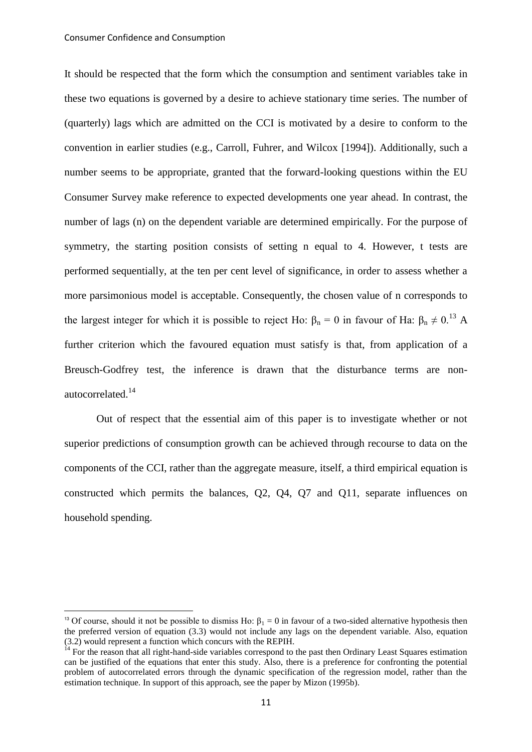-

It should be respected that the form which the consumption and sentiment variables take in these two equations is governed by a desire to achieve stationary time series. The number of (quarterly) lags which are admitted on the CCI is motivated by a desire to conform to the convention in earlier studies (e.g., Carroll, Fuhrer, and Wilcox [1994]). Additionally, such a number seems to be appropriate, granted that the forward-looking questions within the EU Consumer Survey make reference to expected developments one year ahead. In contrast, the number of lags (n) on the dependent variable are determined empirically. For the purpose of symmetry, the starting position consists of setting n equal to 4. However, t tests are performed sequentially, at the ten per cent level of significance, in order to assess whether a more parsimonious model is acceptable. Consequently, the chosen value of n corresponds to the largest integer for which it is possible to reject Ho:  $\beta_n = 0$  in favour of Ha:  $\beta_n \neq 0$ .<sup>13</sup> A further criterion which the favoured equation must satisfy is that, from application of a Breusch-Godfrey test, the inference is drawn that the disturbance terms are nonautocorrelated.<sup>14</sup>

Out of respect that the essential aim of this paper is to investigate whether or not superior predictions of consumption growth can be achieved through recourse to data on the components of the CCI, rather than the aggregate measure, itself, a third empirical equation is constructed which permits the balances, Q2, Q4, Q7 and Q11, separate influences on household spending.

<sup>&</sup>lt;sup>13</sup> Of course, should it not be possible to dismiss Ho:  $\beta_1 = 0$  in favour of a two-sided alternative hypothesis then the preferred version of equation (3.3) would not include any lags on the dependent variable. Also, equation (3.2) would represent a function which concurs with the REPIH.

 $14$  For the reason that all right-hand-side variables correspond to the past then Ordinary Least Squares estimation can be justified of the equations that enter this study. Also, there is a preference for confronting the potential problem of autocorrelated errors through the dynamic specification of the regression model, rather than the estimation technique. In support of this approach, see the paper by Mizon (1995b).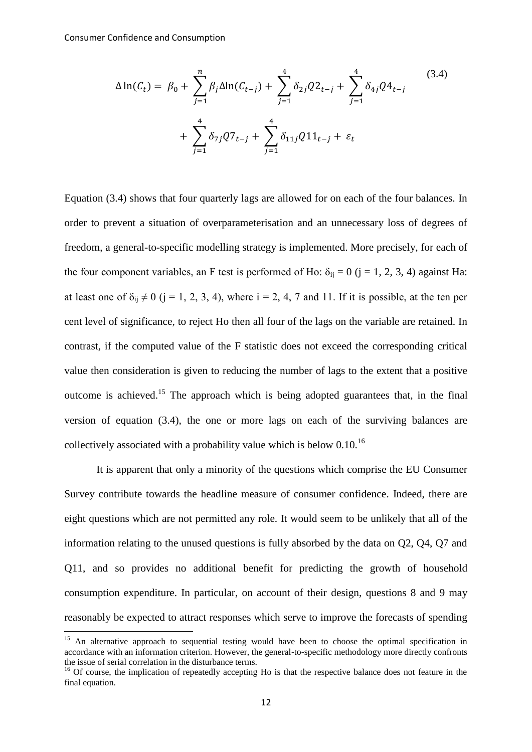<u>.</u>

$$
\Delta \ln(C_t) = \beta_0 + \sum_{j=1}^n \beta_j \Delta \ln(C_{t-j}) + \sum_{j=1}^4 \delta_{2j} Q_{t-j} + \sum_{j=1}^4 \delta_{4j} Q_{t-j}
$$
\n
$$
+ \sum_{j=1}^4 \delta_{7j} Q_{t-j} + \sum_{j=1}^4 \delta_{11j} Q_{t-j} + \varepsilon_t
$$
\n(3.4)

Equation (3.4) shows that four quarterly lags are allowed for on each of the four balances. In order to prevent a situation of overparameterisation and an unnecessary loss of degrees of freedom, a general-to-specific modelling strategy is implemented. More precisely, for each of the four component variables, an F test is performed of Ho:  $\delta_{ij} = 0$  (j = 1, 2, 3, 4) against Ha: at least one of  $\delta_{ii} \neq 0$  (j = 1, 2, 3, 4), where i = 2, 4, 7 and 11. If it is possible, at the ten per cent level of significance, to reject Ho then all four of the lags on the variable are retained. In contrast, if the computed value of the F statistic does not exceed the corresponding critical value then consideration is given to reducing the number of lags to the extent that a positive outcome is achieved.<sup>15</sup> The approach which is being adopted guarantees that, in the final version of equation (3.4), the one or more lags on each of the surviving balances are collectively associated with a probability value which is below  $0.10^{16}$ 

It is apparent that only a minority of the questions which comprise the EU Consumer Survey contribute towards the headline measure of consumer confidence. Indeed, there are eight questions which are not permitted any role. It would seem to be unlikely that all of the information relating to the unused questions is fully absorbed by the data on Q2, Q4, Q7 and Q11, and so provides no additional benefit for predicting the growth of household consumption expenditure. In particular, on account of their design, questions 8 and 9 may reasonably be expected to attract responses which serve to improve the forecasts of spending

<sup>&</sup>lt;sup>15</sup> An alternative approach to sequential testing would have been to choose the optimal specification in accordance with an information criterion. However, the general-to-specific methodology more directly confronts the issue of serial correlation in the disturbance terms.

<sup>&</sup>lt;sup>16</sup> Of course, the implication of repeatedly accepting Ho is that the respective balance does not feature in the final equation.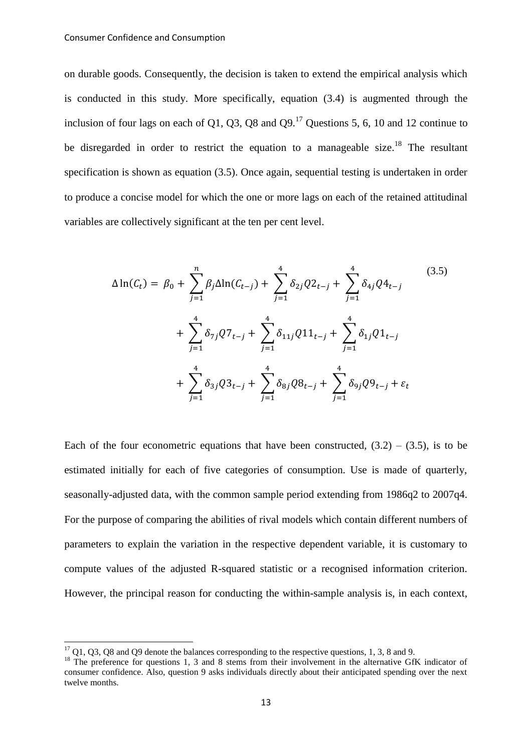on durable goods. Consequently, the decision is taken to extend the empirical analysis which is conducted in this study. More specifically, equation (3.4) is augmented through the inclusion of four lags on each of  $\Omega$ 1,  $\Omega$ 3,  $\Omega$ 8 and  $\Omega$ <sup>17</sup> Questions 5, 6, 10 and 12 continue to be disregarded in order to restrict the equation to a manageable size.<sup>18</sup> The resultant specification is shown as equation (3.5). Once again, sequential testing is undertaken in order to produce a concise model for which the one or more lags on each of the retained attitudinal variables are collectively significant at the ten per cent level.

$$
\Delta \ln(C_t) = \beta_0 + \sum_{j=1}^n \beta_j \Delta \ln(C_{t-j}) + \sum_{j=1}^4 \delta_{2j} Q_{t-j} + \sum_{j=1}^4 \delta_{4j} Q_{t-j}
$$
\n
$$
+ \sum_{j=1}^4 \delta_{7j} Q_{t-j} + \sum_{j=1}^4 \delta_{11j} Q_{t-j} + \sum_{j=1}^4 \delta_{1j} Q_{t-j}
$$
\n
$$
+ \sum_{j=1}^4 \delta_{3j} Q_{t-j} + \sum_{j=1}^4 \delta_{8j} Q_{t-j} + \sum_{j=1}^4 \delta_{9j} Q_{t-j} + \varepsilon_t
$$
\n(3.5)

Each of the four econometric equations that have been constructed,  $(3.2) - (3.5)$ , is to be estimated initially for each of five categories of consumption. Use is made of quarterly, seasonally-adjusted data, with the common sample period extending from 1986q2 to 2007q4. For the purpose of comparing the abilities of rival models which contain different numbers of parameters to explain the variation in the respective dependent variable, it is customary to compute values of the adjusted R-squared statistic or a recognised information criterion. However, the principal reason for conducting the within-sample analysis is, in each context,

-

 $17$  Q1, Q3, Q8 and Q9 denote the balances corresponding to the respective questions, 1, 3, 8 and 9.

<sup>&</sup>lt;sup>18</sup> The preference for questions 1, 3 and 8 stems from their involvement in the alternative GfK indicator of consumer confidence. Also, question 9 asks individuals directly about their anticipated spending over the next twelve months.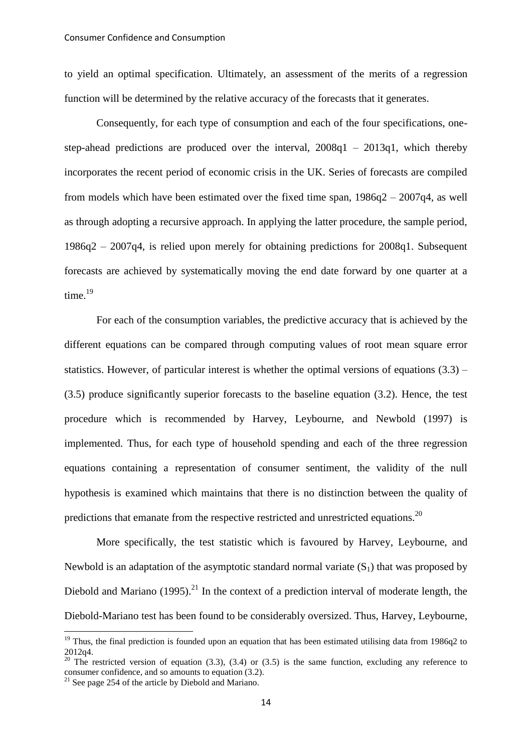to yield an optimal specification. Ultimately, an assessment of the merits of a regression function will be determined by the relative accuracy of the forecasts that it generates.

Consequently, for each type of consumption and each of the four specifications, onestep-ahead predictions are produced over the interval, 2008q1 – 2013q1, which thereby incorporates the recent period of economic crisis in the UK. Series of forecasts are compiled from models which have been estimated over the fixed time span,  $1986q2 - 2007q4$ , as well as through adopting a recursive approach. In applying the latter procedure, the sample period, 1986q2 – 2007q4, is relied upon merely for obtaining predictions for 2008q1. Subsequent forecasts are achieved by systematically moving the end date forward by one quarter at a time. 19

For each of the consumption variables, the predictive accuracy that is achieved by the different equations can be compared through computing values of root mean square error statistics. However, of particular interest is whether the optimal versions of equations  $(3.3)$  – (3.5) produce significantly superior forecasts to the baseline equation (3.2). Hence, the test procedure which is recommended by Harvey, Leybourne, and Newbold (1997) is implemented. Thus, for each type of household spending and each of the three regression equations containing a representation of consumer sentiment, the validity of the null hypothesis is examined which maintains that there is no distinction between the quality of predictions that emanate from the respective restricted and unrestricted equations.<sup>20</sup>

More specifically, the test statistic which is favoured by Harvey, Leybourne, and Newbold is an adaptation of the asymptotic standard normal variate  $(S_1)$  that was proposed by Diebold and Mariano (1995).<sup>21</sup> In the context of a prediction interval of moderate length, the Diebold-Mariano test has been found to be considerably oversized. Thus, Harvey, Leybourne,

<u>.</u>

 $19$  Thus, the final prediction is founded upon an equation that has been estimated utilising data from 1986q2 to 2012q4.

<sup>&</sup>lt;sup>20</sup> The restricted version of equation (3.3), (3.4) or (3.5) is the same function, excluding any reference to consumer confidence, and so amounts to equation (3.2).

 $21$  See page 254 of the article by Diebold and Mariano.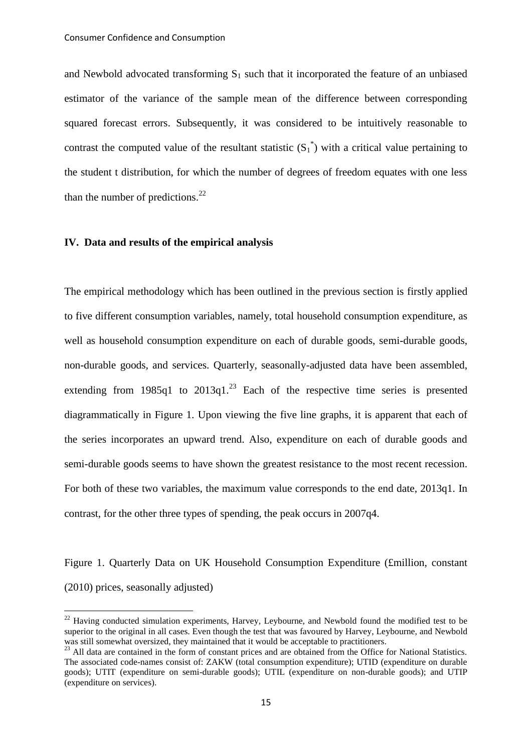and Newbold advocated transforming  $S_1$  such that it incorporated the feature of an unbiased estimator of the variance of the sample mean of the difference between corresponding squared forecast errors. Subsequently, it was considered to be intuitively reasonable to contrast the computed value of the resultant statistic  $(S_1^*)$  with a critical value pertaining to the student t distribution, for which the number of degrees of freedom equates with one less than the number of predictions. $^{22}$ 

#### **IV. Data and results of the empirical analysis**

-

The empirical methodology which has been outlined in the previous section is firstly applied to five different consumption variables, namely, total household consumption expenditure, as well as household consumption expenditure on each of durable goods, semi-durable goods, non-durable goods, and services. Quarterly, seasonally-adjusted data have been assembled, extending from  $1985q1$  to  $2013q1.<sup>23</sup>$  Each of the respective time series is presented diagrammatically in Figure 1. Upon viewing the five line graphs, it is apparent that each of the series incorporates an upward trend. Also, expenditure on each of durable goods and semi-durable goods seems to have shown the greatest resistance to the most recent recession. For both of these two variables, the maximum value corresponds to the end date, 2013q1. In contrast, for the other three types of spending, the peak occurs in 2007q4.

Figure 1. Quarterly Data on UK Household Consumption Expenditure (£million, constant (2010) prices, seasonally adjusted)

<sup>&</sup>lt;sup>22</sup> Having conducted simulation experiments, Harvey, Leybourne, and Newbold found the modified test to be superior to the original in all cases. Even though the test that was favoured by Harvey, Leybourne, and Newbold was still somewhat oversized, they maintained that it would be acceptable to practitioners.

<sup>&</sup>lt;sup>23</sup> All data are contained in the form of constant prices and are obtained from the Office for National Statistics. The associated code-names consist of: ZAKW (total consumption expenditure); UTID (expenditure on durable goods); UTIT (expenditure on semi-durable goods); UTIL (expenditure on non-durable goods); and UTIP (expenditure on services).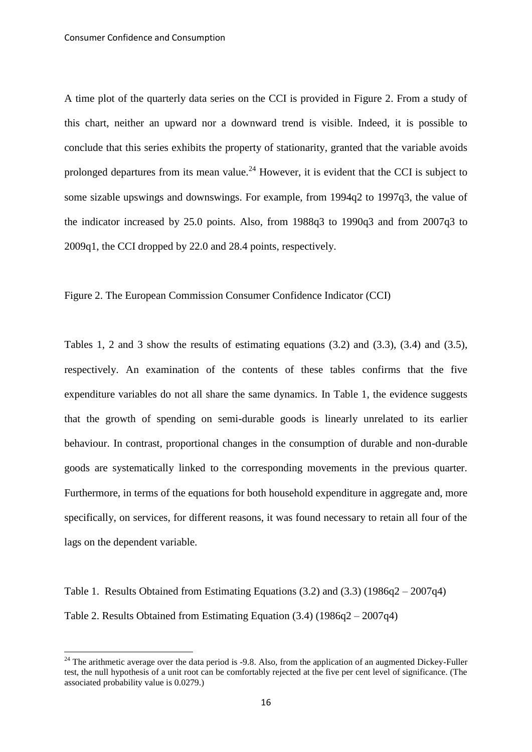A time plot of the quarterly data series on the CCI is provided in Figure 2. From a study of this chart, neither an upward nor a downward trend is visible. Indeed, it is possible to conclude that this series exhibits the property of stationarity, granted that the variable avoids prolonged departures from its mean value.<sup>24</sup> However, it is evident that the CCI is subject to some sizable upswings and downswings. For example, from 1994q2 to 1997q3, the value of the indicator increased by 25.0 points. Also, from 1988q3 to 1990q3 and from 2007q3 to 2009q1, the CCI dropped by 22.0 and 28.4 points, respectively.

Figure 2. The European Commission Consumer Confidence Indicator (CCI)

Tables 1, 2 and 3 show the results of estimating equations (3.2) and (3.3), (3.4) and (3.5), respectively. An examination of the contents of these tables confirms that the five expenditure variables do not all share the same dynamics. In Table 1, the evidence suggests that the growth of spending on semi-durable goods is linearly unrelated to its earlier behaviour. In contrast, proportional changes in the consumption of durable and non-durable goods are systematically linked to the corresponding movements in the previous quarter. Furthermore, in terms of the equations for both household expenditure in aggregate and, more specifically, on services, for different reasons, it was found necessary to retain all four of the lags on the dependent variable.

Table 1. Results Obtained from Estimating Equations (3.2) and (3.3) (1986q2 – 2007q4) Table 2. Results Obtained from Estimating Equation (3.4) (1986q2 – 2007q4)

<u>.</u>

<sup>&</sup>lt;sup>24</sup> The arithmetic average over the data period is  $-9.8$ . Also, from the application of an augmented Dickey-Fuller test, the null hypothesis of a unit root can be comfortably rejected at the five per cent level of significance. (The associated probability value is 0.0279.)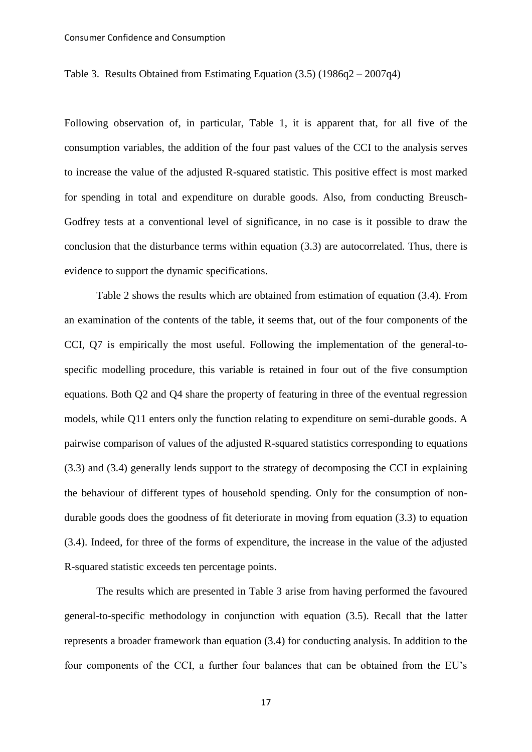Table 3. Results Obtained from Estimating Equation  $(3.5)$  (1986q2 – 2007q4)

Following observation of, in particular, Table 1, it is apparent that, for all five of the consumption variables, the addition of the four past values of the CCI to the analysis serves to increase the value of the adjusted R-squared statistic. This positive effect is most marked for spending in total and expenditure on durable goods. Also, from conducting Breusch-Godfrey tests at a conventional level of significance, in no case is it possible to draw the conclusion that the disturbance terms within equation (3.3) are autocorrelated. Thus, there is evidence to support the dynamic specifications.

Table 2 shows the results which are obtained from estimation of equation (3.4). From an examination of the contents of the table, it seems that, out of the four components of the CCI, Q7 is empirically the most useful. Following the implementation of the general-tospecific modelling procedure, this variable is retained in four out of the five consumption equations. Both Q2 and Q4 share the property of featuring in three of the eventual regression models, while Q11 enters only the function relating to expenditure on semi-durable goods. A pairwise comparison of values of the adjusted R-squared statistics corresponding to equations (3.3) and (3.4) generally lends support to the strategy of decomposing the CCI in explaining the behaviour of different types of household spending. Only for the consumption of nondurable goods does the goodness of fit deteriorate in moving from equation (3.3) to equation (3.4). Indeed, for three of the forms of expenditure, the increase in the value of the adjusted R-squared statistic exceeds ten percentage points.

The results which are presented in Table 3 arise from having performed the favoured general-to-specific methodology in conjunction with equation (3.5). Recall that the latter represents a broader framework than equation (3.4) for conducting analysis. In addition to the four components of the CCI, a further four balances that can be obtained from the EU's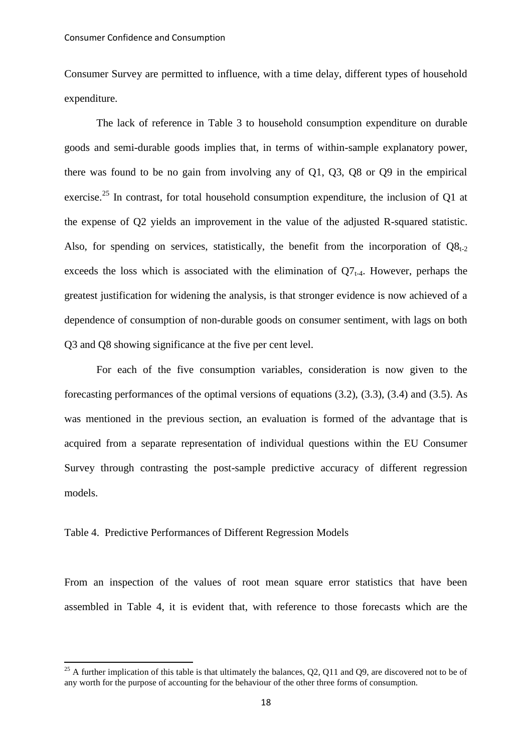Consumer Survey are permitted to influence, with a time delay, different types of household expenditure.

The lack of reference in Table 3 to household consumption expenditure on durable goods and semi-durable goods implies that, in terms of within-sample explanatory power, there was found to be no gain from involving any of Q1, Q3, Q8 or Q9 in the empirical exercise.<sup>25</sup> In contrast, for total household consumption expenditure, the inclusion of Q1 at the expense of Q2 yields an improvement in the value of the adjusted R-squared statistic. Also, for spending on services, statistically, the benefit from the incorporation of  $Q8_{t-2}$ exceeds the loss which is associated with the elimination of  $Q7_{t-4}$ . However, perhaps the greatest justification for widening the analysis, is that stronger evidence is now achieved of a dependence of consumption of non-durable goods on consumer sentiment, with lags on both Q3 and Q8 showing significance at the five per cent level.

For each of the five consumption variables, consideration is now given to the forecasting performances of the optimal versions of equations (3.2), (3.3), (3.4) and (3.5). As was mentioned in the previous section, an evaluation is formed of the advantage that is acquired from a separate representation of individual questions within the EU Consumer Survey through contrasting the post-sample predictive accuracy of different regression models.

#### Table 4. Predictive Performances of Different Regression Models

<u>.</u>

From an inspection of the values of root mean square error statistics that have been assembled in Table 4, it is evident that, with reference to those forecasts which are the

<sup>&</sup>lt;sup>25</sup> A further implication of this table is that ultimately the balances,  $Q^2$ ,  $Q^2$  and  $Q^2$ , are discovered not to be of any worth for the purpose of accounting for the behaviour of the other three forms of consumption.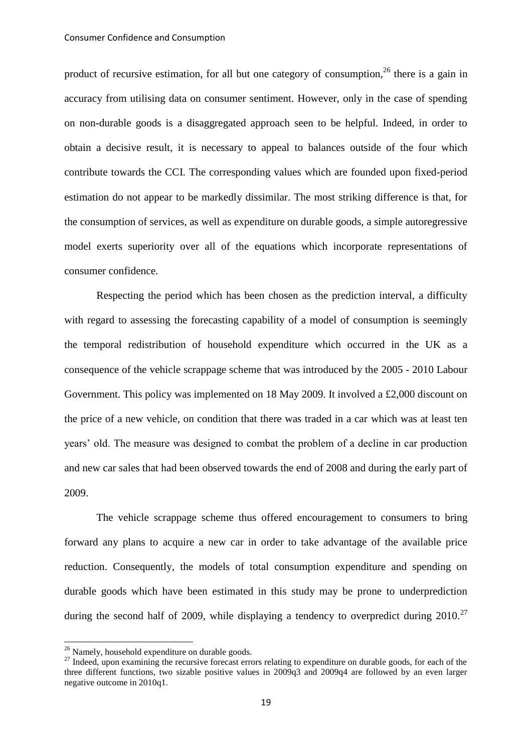product of recursive estimation, for all but one category of consumption.<sup>26</sup> there is a gain in accuracy from utilising data on consumer sentiment. However, only in the case of spending on non-durable goods is a disaggregated approach seen to be helpful. Indeed, in order to obtain a decisive result, it is necessary to appeal to balances outside of the four which contribute towards the CCI. The corresponding values which are founded upon fixed-period estimation do not appear to be markedly dissimilar. The most striking difference is that, for the consumption of services, as well as expenditure on durable goods, a simple autoregressive model exerts superiority over all of the equations which incorporate representations of consumer confidence.

Respecting the period which has been chosen as the prediction interval, a difficulty with regard to assessing the forecasting capability of a model of consumption is seemingly the temporal redistribution of household expenditure which occurred in the UK as a consequence of the vehicle scrappage scheme that was introduced by the 2005 - 2010 Labour Government. This policy was implemented on 18 May 2009. It involved a £2,000 discount on the price of a new vehicle, on condition that there was traded in a car which was at least ten years' old. The measure was designed to combat the problem of a decline in car production and new car sales that had been observed towards the end of 2008 and during the early part of 2009.

The vehicle scrappage scheme thus offered encouragement to consumers to bring forward any plans to acquire a new car in order to take advantage of the available price reduction. Consequently, the models of total consumption expenditure and spending on durable goods which have been estimated in this study may be prone to underprediction during the second half of 2009, while displaying a tendency to overpredict during 2010.<sup>27</sup>

-

 $26$  Namely, household expenditure on durable goods.

<sup>&</sup>lt;sup>27</sup> Indeed, upon examining the recursive forecast errors relating to expenditure on durable goods, for each of the three different functions, two sizable positive values in 2009q3 and 2009q4 are followed by an even larger negative outcome in 2010q1.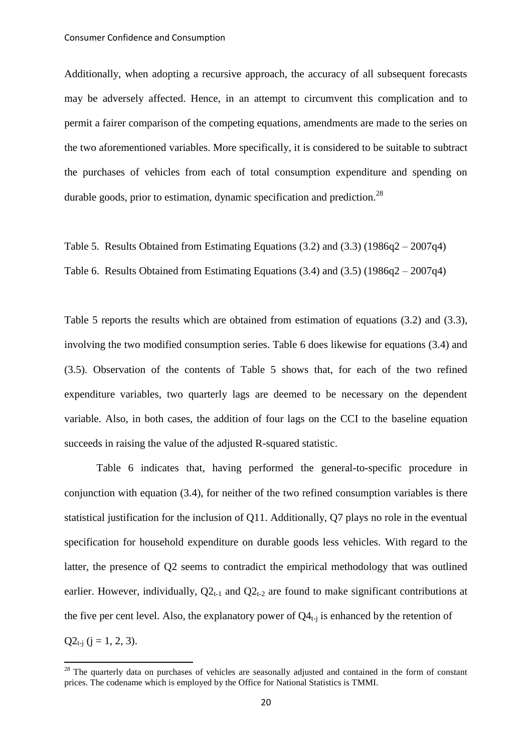Additionally, when adopting a recursive approach, the accuracy of all subsequent forecasts may be adversely affected. Hence, in an attempt to circumvent this complication and to permit a fairer comparison of the competing equations, amendments are made to the series on the two aforementioned variables. More specifically, it is considered to be suitable to subtract the purchases of vehicles from each of total consumption expenditure and spending on durable goods, prior to estimation, dynamic specification and prediction.<sup>28</sup>

Table 5. Results Obtained from Estimating Equations (3.2) and (3.3) (1986q2 – 2007q4) Table 6. Results Obtained from Estimating Equations (3.4) and (3.5) (1986q2 – 2007q4)

Table 5 reports the results which are obtained from estimation of equations (3.2) and (3.3), involving the two modified consumption series. Table 6 does likewise for equations (3.4) and (3.5). Observation of the contents of Table 5 shows that, for each of the two refined expenditure variables, two quarterly lags are deemed to be necessary on the dependent variable. Also, in both cases, the addition of four lags on the CCI to the baseline equation succeeds in raising the value of the adjusted R-squared statistic.

Table 6 indicates that, having performed the general-to-specific procedure in conjunction with equation (3.4), for neither of the two refined consumption variables is there statistical justification for the inclusion of Q11. Additionally, Q7 plays no role in the eventual specification for household expenditure on durable goods less vehicles. With regard to the latter, the presence of Q2 seems to contradict the empirical methodology that was outlined earlier. However, individually,  $Q2_{t-1}$  and  $Q2_{t-2}$  are found to make significant contributions at the five per cent level. Also, the explanatory power of  $Q4_{t-1}$  is enhanced by the retention of  $Q2_{t-i}$  ( $j = 1, 2, 3$ ).

<u>.</u>

<sup>&</sup>lt;sup>28</sup> The quarterly data on purchases of vehicles are seasonally adjusted and contained in the form of constant prices. The codename which is employed by the Office for National Statistics is TMMI.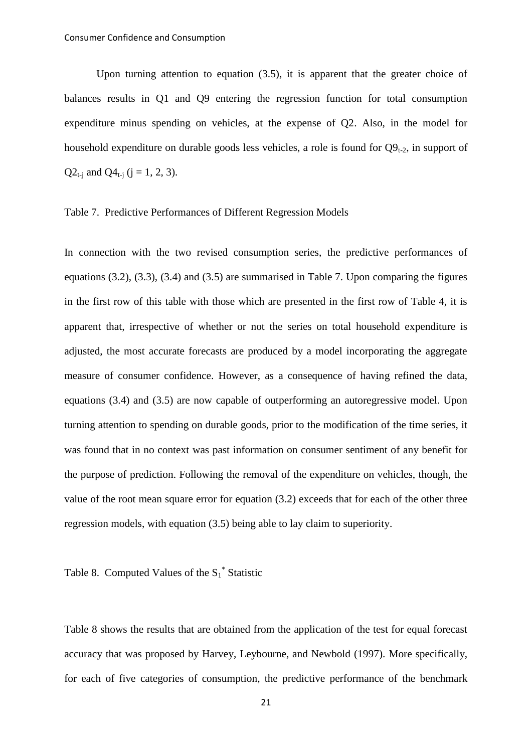Upon turning attention to equation (3.5), it is apparent that the greater choice of balances results in Q1 and Q9 entering the regression function for total consumption expenditure minus spending on vehicles, at the expense of Q2. Also, in the model for household expenditure on durable goods less vehicles, a role is found for  $O_{1}^{2}$ , in support of  $Q2_{t-i}$  and  $Q4_{t-i}$  (j = 1, 2, 3).

#### Table 7. Predictive Performances of Different Regression Models

In connection with the two revised consumption series, the predictive performances of equations (3.2), (3.3), (3.4) and (3.5) are summarised in Table 7. Upon comparing the figures in the first row of this table with those which are presented in the first row of Table 4, it is apparent that, irrespective of whether or not the series on total household expenditure is adjusted, the most accurate forecasts are produced by a model incorporating the aggregate measure of consumer confidence. However, as a consequence of having refined the data, equations (3.4) and (3.5) are now capable of outperforming an autoregressive model. Upon turning attention to spending on durable goods, prior to the modification of the time series, it was found that in no context was past information on consumer sentiment of any benefit for the purpose of prediction. Following the removal of the expenditure on vehicles, though, the value of the root mean square error for equation (3.2) exceeds that for each of the other three regression models, with equation (3.5) being able to lay claim to superiority.

# Table 8. Computed Values of the  $S_1^*$  Statistic

Table 8 shows the results that are obtained from the application of the test for equal forecast accuracy that was proposed by Harvey, Leybourne, and Newbold (1997). More specifically, for each of five categories of consumption, the predictive performance of the benchmark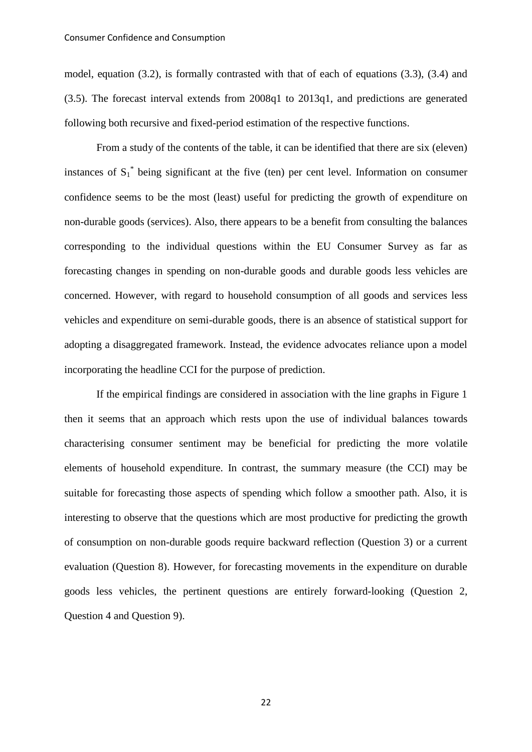model, equation (3.2), is formally contrasted with that of each of equations (3.3), (3.4) and (3.5). The forecast interval extends from 2008q1 to 2013q1, and predictions are generated following both recursive and fixed-period estimation of the respective functions.

From a study of the contents of the table, it can be identified that there are six (eleven) instances of  $S_1^*$  being significant at the five (ten) per cent level. Information on consumer confidence seems to be the most (least) useful for predicting the growth of expenditure on non-durable goods (services). Also, there appears to be a benefit from consulting the balances corresponding to the individual questions within the EU Consumer Survey as far as forecasting changes in spending on non-durable goods and durable goods less vehicles are concerned. However, with regard to household consumption of all goods and services less vehicles and expenditure on semi-durable goods, there is an absence of statistical support for adopting a disaggregated framework. Instead, the evidence advocates reliance upon a model incorporating the headline CCI for the purpose of prediction.

If the empirical findings are considered in association with the line graphs in Figure 1 then it seems that an approach which rests upon the use of individual balances towards characterising consumer sentiment may be beneficial for predicting the more volatile elements of household expenditure. In contrast, the summary measure (the CCI) may be suitable for forecasting those aspects of spending which follow a smoother path. Also, it is interesting to observe that the questions which are most productive for predicting the growth of consumption on non-durable goods require backward reflection (Question 3) or a current evaluation (Question 8). However, for forecasting movements in the expenditure on durable goods less vehicles, the pertinent questions are entirely forward-looking (Question 2, Question 4 and Question 9).

22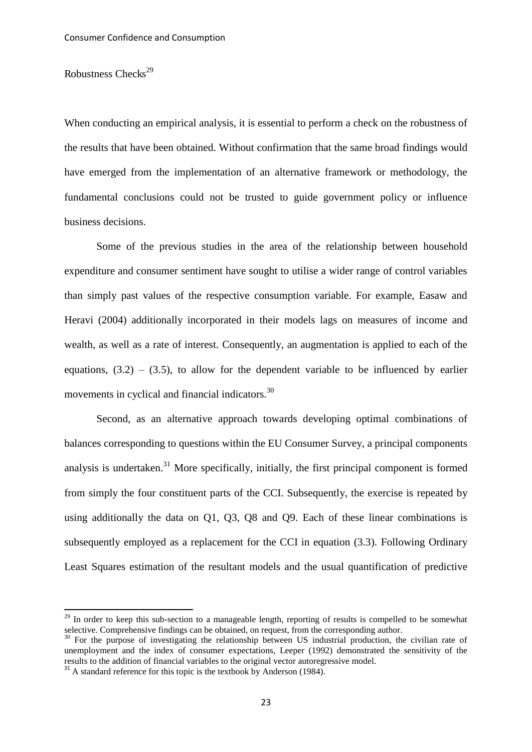#### Robustness  $Checks<sup>29</sup>$

When conducting an empirical analysis, it is essential to perform a check on the robustness of the results that have been obtained. Without confirmation that the same broad findings would have emerged from the implementation of an alternative framework or methodology, the fundamental conclusions could not be trusted to guide government policy or influence business decisions.

Some of the previous studies in the area of the relationship between household expenditure and consumer sentiment have sought to utilise a wider range of control variables than simply past values of the respective consumption variable. For example, Easaw and Heravi (2004) additionally incorporated in their models lags on measures of income and wealth, as well as a rate of interest. Consequently, an augmentation is applied to each of the equations,  $(3.2) - (3.5)$ , to allow for the dependent variable to be influenced by earlier movements in cyclical and financial indicators.<sup>30</sup>

Second, as an alternative approach towards developing optimal combinations of balances corresponding to questions within the EU Consumer Survey, a principal components analysis is undertaken. $31$  More specifically, initially, the first principal component is formed from simply the four constituent parts of the CCI. Subsequently, the exercise is repeated by using additionally the data on Q1, Q3, Q8 and Q9. Each of these linear combinations is subsequently employed as a replacement for the CCI in equation (3.3). Following Ordinary Least Squares estimation of the resultant models and the usual quantification of predictive

-

<sup>&</sup>lt;sup>29</sup> In order to keep this sub-section to a manageable length, reporting of results is compelled to be somewhat selective. Comprehensive findings can be obtained, on request, from the corresponding author.

<sup>&</sup>lt;sup>30</sup> For the purpose of investigating the relationship between US industrial production, the civilian rate of unemployment and the index of consumer expectations, Leeper (1992) demonstrated the sensitivity of the results to the addition of financial variables to the original vector autoregressive model.

 $31$  A standard reference for this topic is the textbook by Anderson (1984).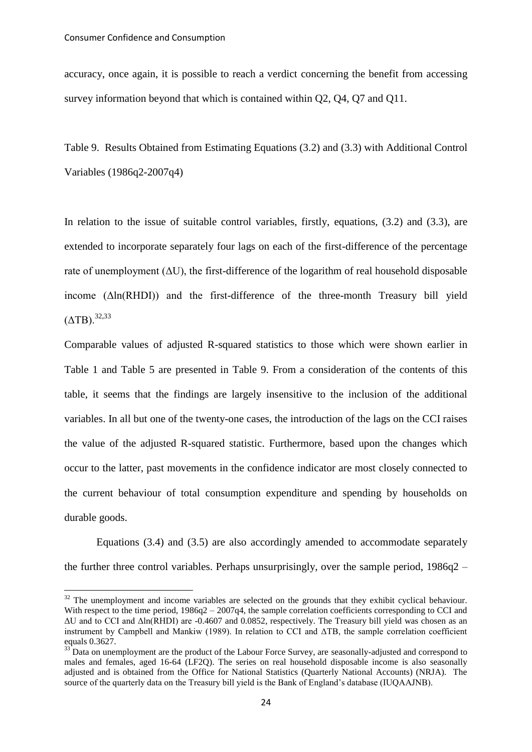-

accuracy, once again, it is possible to reach a verdict concerning the benefit from accessing survey information beyond that which is contained within Q2, Q4, Q7 and Q11.

Table 9. Results Obtained from Estimating Equations (3.2) and (3.3) with Additional Control Variables (1986q2-2007q4)

In relation to the issue of suitable control variables, firstly, equations,  $(3.2)$  and  $(3.3)$ , are extended to incorporate separately four lags on each of the first-difference of the percentage rate of unemployment  $(\Delta U)$ , the first-difference of the logarithm of real household disposable income  $(\Delta ln(RHDI))$  and the first-difference of the three-month Treasury bill yield  $(ATB).^{32,33}$ 

Comparable values of adjusted R-squared statistics to those which were shown earlier in Table 1 and Table 5 are presented in Table 9. From a consideration of the contents of this table, it seems that the findings are largely insensitive to the inclusion of the additional variables. In all but one of the twenty-one cases, the introduction of the lags on the CCI raises the value of the adjusted R-squared statistic. Furthermore, based upon the changes which occur to the latter, past movements in the confidence indicator are most closely connected to the current behaviour of total consumption expenditure and spending by households on durable goods.

Equations (3.4) and (3.5) are also accordingly amended to accommodate separately the further three control variables. Perhaps unsurprisingly, over the sample period,  $1986q2 -$ 

 $32$  The unemployment and income variables are selected on the grounds that they exhibit cyclical behaviour. With respect to the time period,  $1986q2 - 2007q4$ , the sample correlation coefficients corresponding to CCI and  $\Delta U$  and to CCI and  $\Delta \ln (RHDI)$  are -0.4607 and 0.0852, respectively. The Treasury bill yield was chosen as an instrument by Campbell and Mankiw (1989). In relation to CCI and  $\Delta TB$ , the sample correlation coefficient equals 0.3627.

 $33<sup>33</sup>$  Data on unemployment are the product of the Labour Force Survey, are seasonally-adjusted and correspond to males and females, aged 16-64 (LF2Q). The series on real household disposable income is also seasonally adjusted and is obtained from the Office for National Statistics (Quarterly National Accounts) (NRJA). The source of the quarterly data on the Treasury bill yield is the Bank of England's database (IUQAAJNB).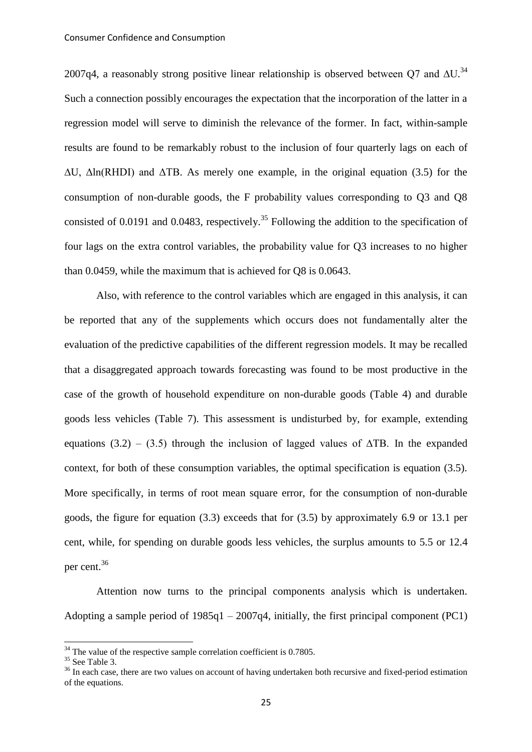2007q4, a reasonably strong positive linear relationship is observed between Q7 and  $\Delta U$ .<sup>34</sup> Such a connection possibly encourages the expectation that the incorporation of the latter in a regression model will serve to diminish the relevance of the former. In fact, within-sample results are found to be remarkably robust to the inclusion of four quarterly lags on each of  $\Delta U$ ,  $\Delta \ln(RHDI)$  and  $\Delta TB$ . As merely one example, in the original equation (3.5) for the consumption of non-durable goods, the F probability values corresponding to Q3 and Q8 consisted of 0.0191 and 0.0483, respectively.<sup>35</sup> Following the addition to the specification of four lags on the extra control variables, the probability value for Q3 increases to no higher than 0.0459, while the maximum that is achieved for Q8 is 0.0643.

Also, with reference to the control variables which are engaged in this analysis, it can be reported that any of the supplements which occurs does not fundamentally alter the evaluation of the predictive capabilities of the different regression models. It may be recalled that a disaggregated approach towards forecasting was found to be most productive in the case of the growth of household expenditure on non-durable goods (Table 4) and durable goods less vehicles (Table 7). This assessment is undisturbed by, for example, extending equations (3.2) – (3.5) through the inclusion of lagged values of  $\triangle$ TB. In the expanded context, for both of these consumption variables, the optimal specification is equation (3.5). More specifically, in terms of root mean square error, for the consumption of non-durable goods, the figure for equation (3.3) exceeds that for (3.5) by approximately 6.9 or 13.1 per cent, while, for spending on durable goods less vehicles, the surplus amounts to 5.5 or 12.4 per cent.<sup>36</sup>

Attention now turns to the principal components analysis which is undertaken. Adopting a sample period of 1985q1 – 2007q4, initially, the first principal component (PC1)

-

 $34$  The value of the respective sample correlation coefficient is 0.7805.

 $35$  See Table 3.

<sup>&</sup>lt;sup>36</sup> In each case, there are two values on account of having undertaken both recursive and fixed-period estimation of the equations.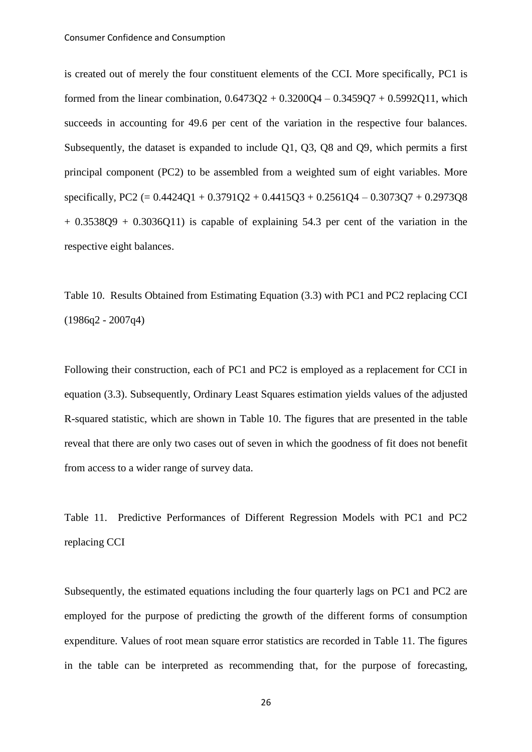is created out of merely the four constituent elements of the CCI. More specifically, PC1 is formed from the linear combination,  $0.6473O2 + 0.3200O4 - 0.3459O7 + 0.5992O11$ , which succeeds in accounting for 49.6 per cent of the variation in the respective four balances. Subsequently, the dataset is expanded to include Q1, Q3, Q8 and Q9, which permits a first principal component (PC2) to be assembled from a weighted sum of eight variables. More specifically, PC2 (=  $0.4424Q1 + 0.3791Q2 + 0.4415Q3 + 0.2561Q4 - 0.3073Q7 + 0.2973Q8$  $+ 0.3538Q9 + 0.3036Q11$  is capable of explaining 54.3 per cent of the variation in the respective eight balances.

Table 10. Results Obtained from Estimating Equation (3.3) with PC1 and PC2 replacing CCI  $(1986q2 - 2007q4)$ 

Following their construction, each of PC1 and PC2 is employed as a replacement for CCI in equation (3.3). Subsequently, Ordinary Least Squares estimation yields values of the adjusted R-squared statistic, which are shown in Table 10. The figures that are presented in the table reveal that there are only two cases out of seven in which the goodness of fit does not benefit from access to a wider range of survey data.

Table 11. Predictive Performances of Different Regression Models with PC1 and PC2 replacing CCI

Subsequently, the estimated equations including the four quarterly lags on PC1 and PC2 are employed for the purpose of predicting the growth of the different forms of consumption expenditure. Values of root mean square error statistics are recorded in Table 11. The figures in the table can be interpreted as recommending that, for the purpose of forecasting,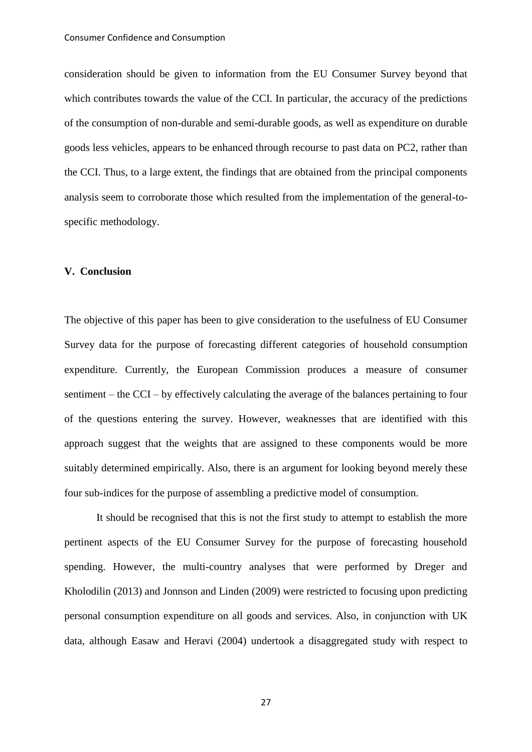consideration should be given to information from the EU Consumer Survey beyond that which contributes towards the value of the CCI. In particular, the accuracy of the predictions of the consumption of non-durable and semi-durable goods, as well as expenditure on durable goods less vehicles, appears to be enhanced through recourse to past data on PC2, rather than the CCI. Thus, to a large extent, the findings that are obtained from the principal components analysis seem to corroborate those which resulted from the implementation of the general-tospecific methodology.

#### **V. Conclusion**

The objective of this paper has been to give consideration to the usefulness of EU Consumer Survey data for the purpose of forecasting different categories of household consumption expenditure. Currently, the European Commission produces a measure of consumer sentiment – the CCI – by effectively calculating the average of the balances pertaining to four of the questions entering the survey. However, weaknesses that are identified with this approach suggest that the weights that are assigned to these components would be more suitably determined empirically. Also, there is an argument for looking beyond merely these four sub-indices for the purpose of assembling a predictive model of consumption.

It should be recognised that this is not the first study to attempt to establish the more pertinent aspects of the EU Consumer Survey for the purpose of forecasting household spending. However, the multi-country analyses that were performed by Dreger and Kholodilin (2013) and Jonnson and Linden (2009) were restricted to focusing upon predicting personal consumption expenditure on all goods and services. Also, in conjunction with UK data, although Easaw and Heravi (2004) undertook a disaggregated study with respect to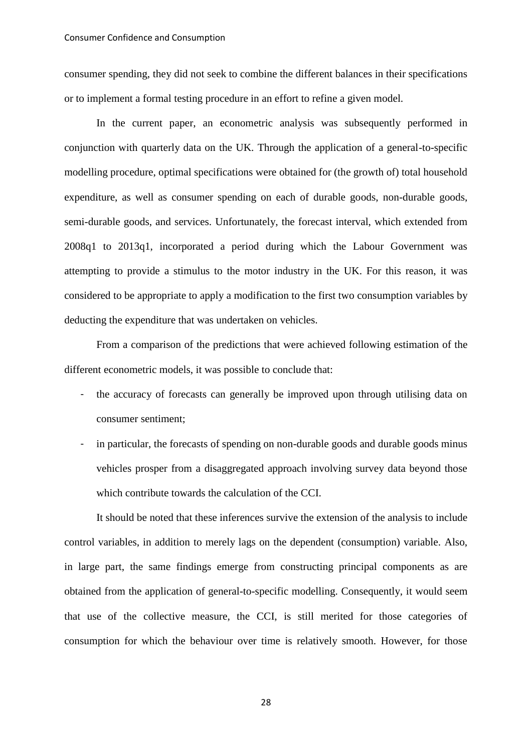consumer spending, they did not seek to combine the different balances in their specifications or to implement a formal testing procedure in an effort to refine a given model.

In the current paper, an econometric analysis was subsequently performed in conjunction with quarterly data on the UK. Through the application of a general-to-specific modelling procedure, optimal specifications were obtained for (the growth of) total household expenditure, as well as consumer spending on each of durable goods, non-durable goods, semi-durable goods, and services. Unfortunately, the forecast interval, which extended from 2008q1 to 2013q1, incorporated a period during which the Labour Government was attempting to provide a stimulus to the motor industry in the UK. For this reason, it was considered to be appropriate to apply a modification to the first two consumption variables by deducting the expenditure that was undertaken on vehicles.

From a comparison of the predictions that were achieved following estimation of the different econometric models, it was possible to conclude that:

- the accuracy of forecasts can generally be improved upon through utilising data on consumer sentiment;
- in particular, the forecasts of spending on non-durable goods and durable goods minus vehicles prosper from a disaggregated approach involving survey data beyond those which contribute towards the calculation of the CCI.

It should be noted that these inferences survive the extension of the analysis to include control variables, in addition to merely lags on the dependent (consumption) variable. Also, in large part, the same findings emerge from constructing principal components as are obtained from the application of general-to-specific modelling. Consequently, it would seem that use of the collective measure, the CCI, is still merited for those categories of consumption for which the behaviour over time is relatively smooth. However, for those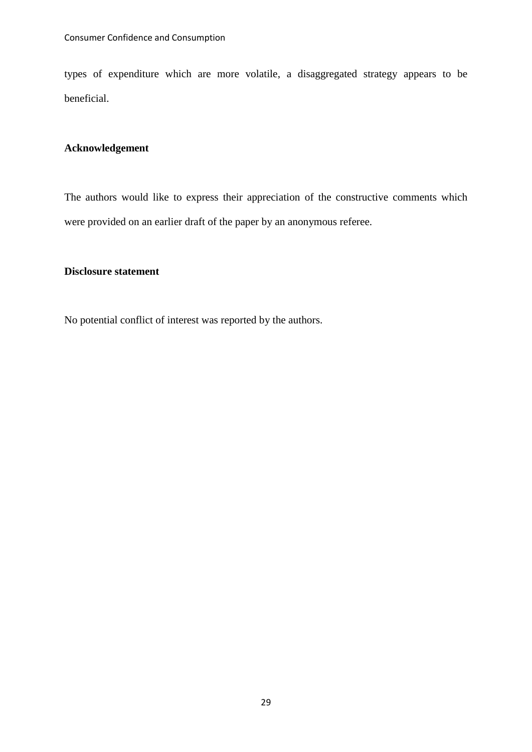types of expenditure which are more volatile, a disaggregated strategy appears to be beneficial.

## **Acknowledgement**

The authors would like to express their appreciation of the constructive comments which were provided on an earlier draft of the paper by an anonymous referee.

## **Disclosure statement**

No potential conflict of interest was reported by the authors.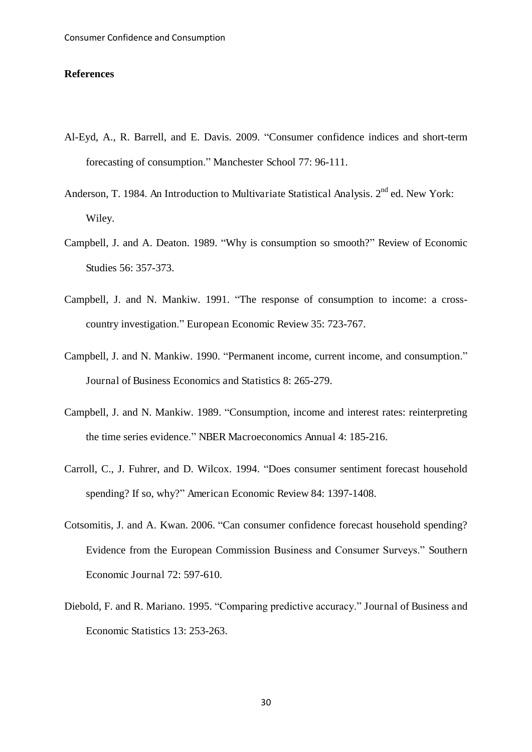#### **References**

- Al-Eyd, A., R. Barrell, and E. Davis. 2009. "Consumer confidence indices and short-term forecasting of consumption." Manchester School 77: 96-111.
- Anderson, T. 1984. An Introduction to Multivariate Statistical Analysis. 2<sup>nd</sup> ed. New York: Wiley.
- Campbell, J. and A. Deaton. 1989. "Why is consumption so smooth?" Review of Economic Studies 56: 357-373.
- Campbell, J. and N. Mankiw. 1991. "The response of consumption to income: a crosscountry investigation." European Economic Review 35: 723-767.
- Campbell, J. and N. Mankiw. 1990. "Permanent income, current income, and consumption." Journal of Business Economics and Statistics 8: 265-279.
- Campbell, J. and N. Mankiw. 1989. "Consumption, income and interest rates: reinterpreting the time series evidence." NBER Macroeconomics Annual 4: 185-216.
- Carroll, C., J. Fuhrer, and D. Wilcox. 1994. "Does consumer sentiment forecast household spending? If so, why?" American Economic Review 84: 1397-1408.
- Cotsomitis, J. and A. Kwan. 2006. "Can consumer confidence forecast household spending? Evidence from the European Commission Business and Consumer Surveys." Southern Economic Journal 72: 597-610.
- Diebold, F. and R. Mariano. 1995. "Comparing predictive accuracy." Journal of Business and Economic Statistics 13: 253-263.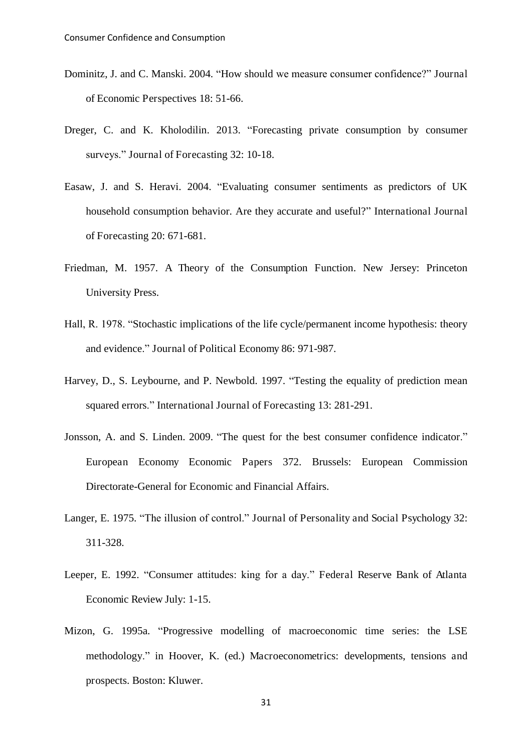- Dominitz, J. and C. Manski. 2004. "How should we measure consumer confidence?" Journal of Economic Perspectives 18: 51-66.
- Dreger, C. and K. Kholodilin. 2013. "Forecasting private consumption by consumer surveys." Journal of Forecasting 32: 10-18.
- Easaw, J. and S. Heravi. 2004. "Evaluating consumer sentiments as predictors of UK household consumption behavior. Are they accurate and useful?" International Journal of Forecasting 20: 671-681.
- Friedman, M. 1957. A Theory of the Consumption Function. New Jersey: Princeton University Press.
- Hall, R. 1978. "Stochastic implications of the life cycle/permanent income hypothesis: theory and evidence." Journal of Political Economy 86: 971-987.
- Harvey, D., S. Leybourne, and P. Newbold. 1997. "Testing the equality of prediction mean squared errors." International Journal of Forecasting 13: 281-291.
- Jonsson, A. and S. Linden. 2009. "The quest for the best consumer confidence indicator." European Economy Economic Papers 372. Brussels: European Commission Directorate-General for Economic and Financial Affairs.
- Langer, E. 1975. "The illusion of control." Journal of Personality and Social Psychology 32: 311-328.
- Leeper, E. 1992. "Consumer attitudes: king for a day." Federal Reserve Bank of Atlanta Economic Review July: 1-15.
- Mizon, G. 1995a. "Progressive modelling of macroeconomic time series: the LSE methodology." in Hoover, K. (ed.) Macroeconometrics: developments, tensions and prospects. Boston: Kluwer.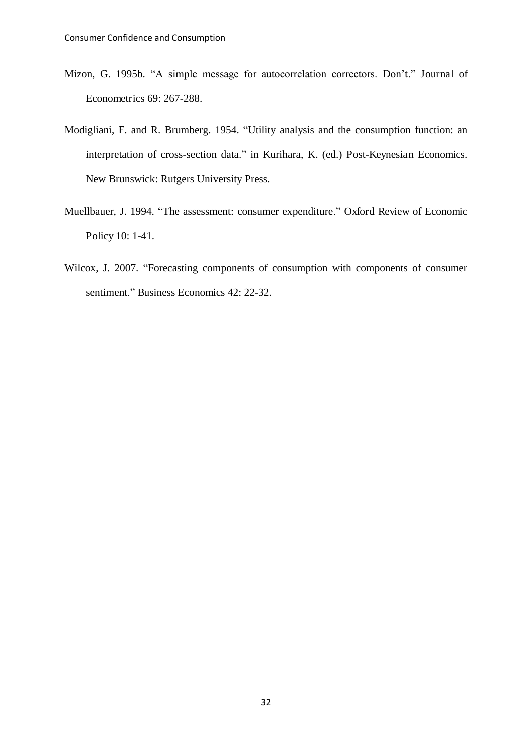- Mizon, G. 1995b. "A simple message for autocorrelation correctors. Don't." Journal of Econometrics 69: 267-288.
- Modigliani, F. and R. Brumberg. 1954. "Utility analysis and the consumption function: an interpretation of cross-section data." in Kurihara, K. (ed.) Post-Keynesian Economics. New Brunswick: Rutgers University Press.
- Muellbauer, J. 1994. "The assessment: consumer expenditure." Oxford Review of Economic Policy 10: 1-41.
- Wilcox, J. 2007. "Forecasting components of consumption with components of consumer sentiment." Business Economics 42: 22-32.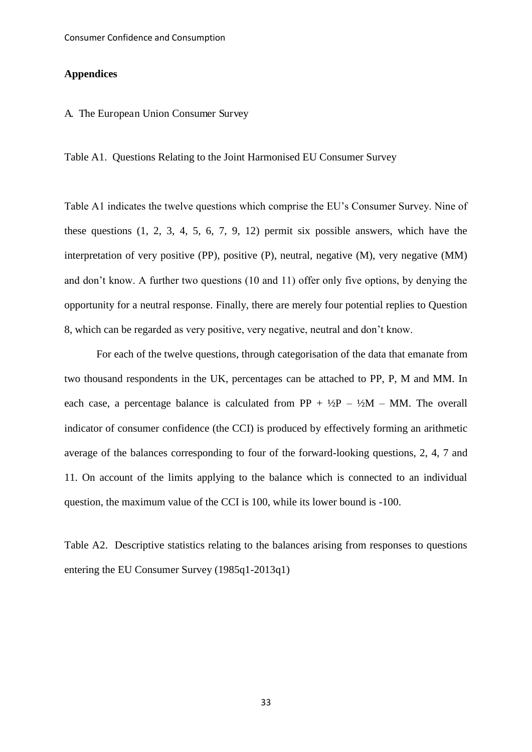#### **Appendices**

#### A. The European Union Consumer Survey

Table A1. Questions Relating to the Joint Harmonised EU Consumer Survey

Table A1 indicates the twelve questions which comprise the EU's Consumer Survey. Nine of these questions (1, 2, 3, 4, 5, 6, 7, 9, 12) permit six possible answers, which have the interpretation of very positive (PP), positive (P), neutral, negative (M), very negative (MM) and don't know. A further two questions (10 and 11) offer only five options, by denying the opportunity for a neutral response. Finally, there are merely four potential replies to Question 8, which can be regarded as very positive, very negative, neutral and don't know.

For each of the twelve questions, through categorisation of the data that emanate from two thousand respondents in the UK, percentages can be attached to PP, P, M and MM. In each case, a percentage balance is calculated from PP +  $\frac{1}{2}P - \frac{1}{2}M - MM$ . The overall indicator of consumer confidence (the CCI) is produced by effectively forming an arithmetic average of the balances corresponding to four of the forward-looking questions, 2, 4, 7 and 11. On account of the limits applying to the balance which is connected to an individual question, the maximum value of the CCI is 100, while its lower bound is -100.

Table A2. Descriptive statistics relating to the balances arising from responses to questions entering the EU Consumer Survey (1985q1-2013q1)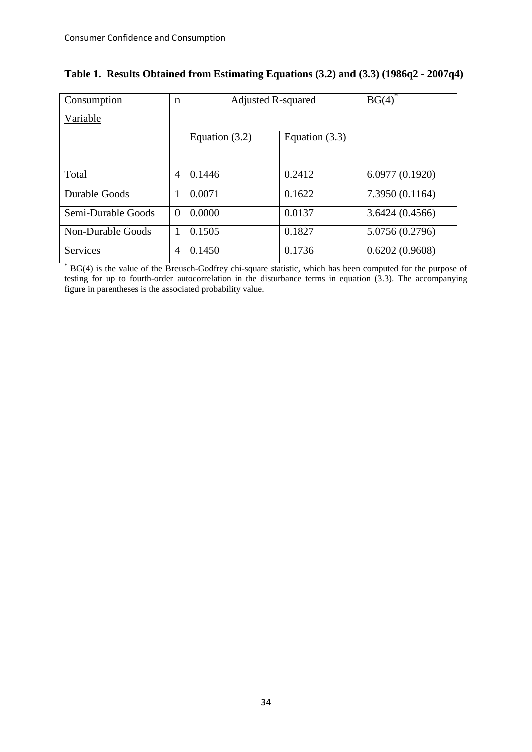| Consumption              | $\underline{n}$ | <b>Adjusted R-squared</b> |                  | BG(4)           |
|--------------------------|-----------------|---------------------------|------------------|-----------------|
| Variable                 |                 |                           |                  |                 |
|                          |                 | Equation $(3.2)$          | Equation $(3.3)$ |                 |
| Total                    | $\overline{4}$  | 0.1446                    | 0.2412           | 6.0977(0.1920)  |
| Durable Goods            | 1               | 0.0071                    | 0.1622           | 7.3950(0.1164)  |
| Semi-Durable Goods       | $\Omega$        | 0.0000                    | 0.0137           | 3.6424(0.4566)  |
| <b>Non-Durable Goods</b> | 1               | 0.1505                    | 0.1827           | 5.0756 (0.2796) |
| Services                 | $\overline{4}$  | 0.1450                    | 0.1736           | 0.6202(0.9608)  |

|  |  |  |  |  |  | Table 1. Results Obtained from Estimating Equations (3.2) and (3.3) (1986q2 - 2007q4) |  |
|--|--|--|--|--|--|---------------------------------------------------------------------------------------|--|
|--|--|--|--|--|--|---------------------------------------------------------------------------------------|--|

\* BG(4) is the value of the Breusch-Godfrey chi-square statistic, which has been computed for the purpose of testing for up to fourth-order autocorrelation in the disturbance terms in equation (3.3). The accompanying figure in parentheses is the associated probability value.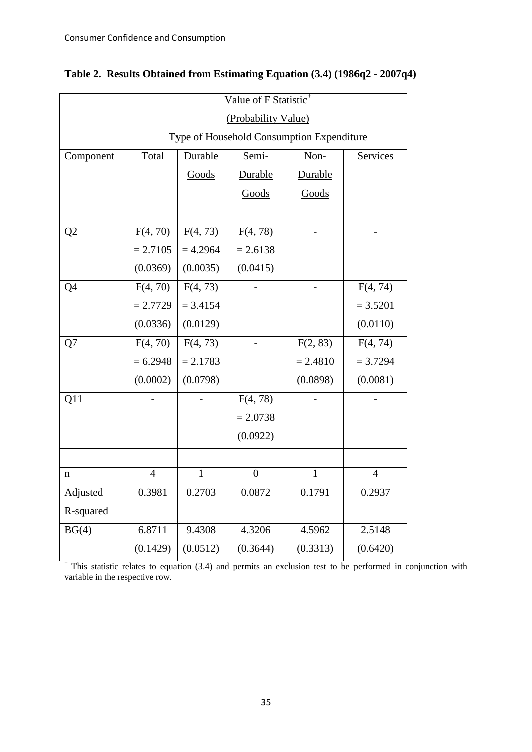|             |                | Value of F Statistic <sup>+</sup> |                                           |              |                |  |  |  |
|-------------|----------------|-----------------------------------|-------------------------------------------|--------------|----------------|--|--|--|
|             |                | (Probability Value)               |                                           |              |                |  |  |  |
|             |                |                                   | Type of Household Consumption Expenditure |              |                |  |  |  |
| Component   | Total          | Durable                           | Semi-                                     | Non-         | Services       |  |  |  |
|             |                | Goods                             | Durable                                   | Durable      |                |  |  |  |
|             |                |                                   | Goods                                     | Goods        |                |  |  |  |
|             |                |                                   |                                           |              |                |  |  |  |
| Q2          | F(4, 70)       | F(4, 73)                          | F(4, 78)                                  |              |                |  |  |  |
|             | $= 2.7105$     | $= 4.2964$                        | $= 2.6138$                                |              |                |  |  |  |
|             | (0.0369)       | (0.0035)                          | (0.0415)                                  |              |                |  |  |  |
| Q4          | F(4, 70)       | F(4, 73)                          |                                           |              | F(4, 74)       |  |  |  |
|             | $= 2.7729$     | $= 3.4154$                        |                                           |              | $= 3.5201$     |  |  |  |
|             | (0.0336)       | (0.0129)                          |                                           |              | (0.0110)       |  |  |  |
| Q7          | F(4, 70)       | F(4, 73)                          |                                           | F(2, 83)     | F(4, 74)       |  |  |  |
|             | $= 6.2948$     | $= 2.1783$                        |                                           | $= 2.4810$   | $= 3.7294$     |  |  |  |
|             | (0.0002)       | (0.0798)                          |                                           | (0.0898)     | (0.0081)       |  |  |  |
| Q11         |                |                                   | F(4, 78)                                  |              |                |  |  |  |
|             |                |                                   | $= 2.0738$                                |              |                |  |  |  |
|             |                |                                   | (0.0922)                                  |              |                |  |  |  |
|             |                |                                   |                                           |              |                |  |  |  |
| $\mathbf n$ | $\overline{4}$ | $\mathbf{1}$                      | $\overline{0}$                            | $\mathbf{1}$ | $\overline{4}$ |  |  |  |
| Adjusted    | 0.3981         | 0.2703                            | 0.0872                                    | 0.1791       | 0.2937         |  |  |  |
| R-squared   |                |                                   |                                           |              |                |  |  |  |
| BG(4)       | 6.8711         | 9.4308                            | 4.3206                                    | 4.5962       | 2.5148         |  |  |  |
|             | (0.1429)       | (0.0512)                          | (0.3644)                                  | (0.3313)     | (0.6420)       |  |  |  |

## **Table 2. Results Obtained from Estimating Equation (3.4) (1986q2 - 2007q4)**

+ This statistic relates to equation (3.4) and permits an exclusion test to be performed in conjunction with variable in the respective row.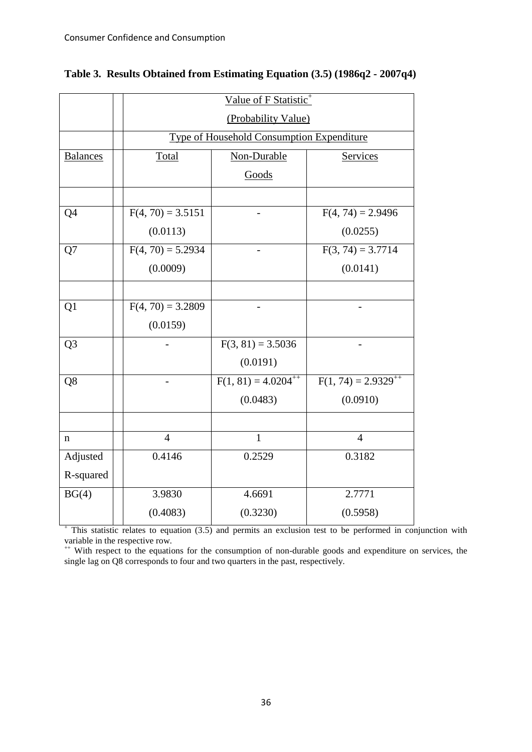|                 | Value of F Statistic <sup>+</sup> |                                           |                          |  |  |  |  |
|-----------------|-----------------------------------|-------------------------------------------|--------------------------|--|--|--|--|
|                 |                                   | (Probability Value)                       |                          |  |  |  |  |
|                 |                                   | Type of Household Consumption Expenditure |                          |  |  |  |  |
| <b>Balances</b> | Total                             | Non-Durable                               | Services                 |  |  |  |  |
|                 |                                   | Goods                                     |                          |  |  |  |  |
|                 |                                   |                                           |                          |  |  |  |  |
| Q <sub>4</sub>  | $F(4, 70) = 3.5151$               |                                           | $F(4, 74) = 2.9496$      |  |  |  |  |
|                 | (0.0113)                          |                                           | (0.0255)                 |  |  |  |  |
| Q7              | $F(4, 70) = 5.2934$               |                                           | $F(3, 74) = 3.7714$      |  |  |  |  |
|                 | (0.0009)                          |                                           | (0.0141)                 |  |  |  |  |
|                 |                                   |                                           |                          |  |  |  |  |
| Q <sub>1</sub>  | $F(4, 70) = 3.2809$               |                                           |                          |  |  |  |  |
|                 | (0.0159)                          |                                           |                          |  |  |  |  |
| Q <sub>3</sub>  |                                   | $F(3, 81) = 3.5036$                       |                          |  |  |  |  |
|                 |                                   | (0.0191)                                  |                          |  |  |  |  |
| Q8              |                                   | $\overline{F(1, 81)} = 4.0204^{++}$       | $F(1, 74) = 2.9329^{+4}$ |  |  |  |  |
|                 |                                   | (0.0483)                                  | (0.0910)                 |  |  |  |  |
|                 |                                   |                                           |                          |  |  |  |  |
| n               | $\overline{4}$                    | $\mathbf{1}$                              | $\overline{4}$           |  |  |  |  |
| Adjusted        | 0.4146                            | 0.2529                                    | 0.3182                   |  |  |  |  |
| R-squared       |                                   |                                           |                          |  |  |  |  |
| BG(4)           | 3.9830                            | 4.6691                                    | 2.7771                   |  |  |  |  |
|                 | (0.4083)                          | (0.3230)                                  | (0.5958)                 |  |  |  |  |

|  |  | Table 3. Results Obtained from Estimating Equation (3.5) (1986q2 - 2007q4) |  |  |  |  |  |  |  |  |  |
|--|--|----------------------------------------------------------------------------|--|--|--|--|--|--|--|--|--|
|--|--|----------------------------------------------------------------------------|--|--|--|--|--|--|--|--|--|

<sup>+</sup> This statistic relates to equation (3.5) and permits an exclusion test to be performed in conjunction with variable in the respective row.

<sup>++</sup> With respect to the equations for the consumption of non-durable goods and expenditure on services, the single lag on Q8 corresponds to four and two quarters in the past, respectively.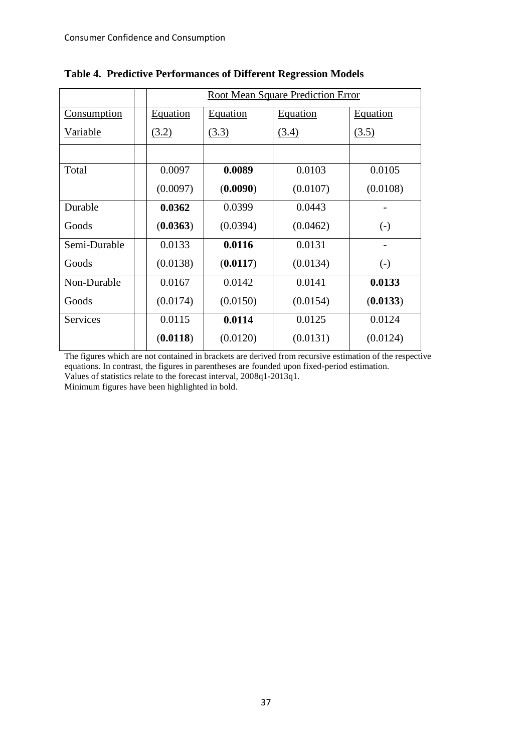|                    | <b>Root Mean Square Prediction Error</b> |          |          |                   |  |  |  |
|--------------------|------------------------------------------|----------|----------|-------------------|--|--|--|
| <b>Consumption</b> | Equation                                 | Equation | Equation | <b>Equation</b>   |  |  |  |
| Variable           | (3.2)                                    | (3.3)    | (3.4)    | (3.5)             |  |  |  |
|                    |                                          |          |          |                   |  |  |  |
| Total              | 0.0097                                   | 0.0089   | 0.0103   | 0.0105            |  |  |  |
|                    | (0.0097)                                 | (0.0090) | (0.0107) | (0.0108)          |  |  |  |
| Durable            | 0.0362                                   | 0.0399   | 0.0443   |                   |  |  |  |
| Goods              | (0.0363)                                 | (0.0394) | (0.0462) | $\left( -\right)$ |  |  |  |
| Semi-Durable       | 0.0133                                   | 0.0116   | 0.0131   |                   |  |  |  |
| Goods              | (0.0138)                                 | (0.0117) | (0.0134) | $\left( -\right)$ |  |  |  |
| Non-Durable        | 0.0167                                   | 0.0142   | 0.0141   | 0.0133            |  |  |  |
| Goods              | (0.0174)                                 | (0.0150) | (0.0154) | (0.0133)          |  |  |  |
| <b>Services</b>    | 0.0115                                   | 0.0114   | 0.0125   | 0.0124            |  |  |  |
|                    | (0.0118)                                 | (0.0120) | (0.0131) | (0.0124)          |  |  |  |

# **Table 4. Predictive Performances of Different Regression Models**

The figures which are not contained in brackets are derived from recursive estimation of the respective equations. In contrast, the figures in parentheses are founded upon fixed-period estimation. Values of statistics relate to the forecast interval, 2008q1-2013q1.

Minimum figures have been highlighted in bold.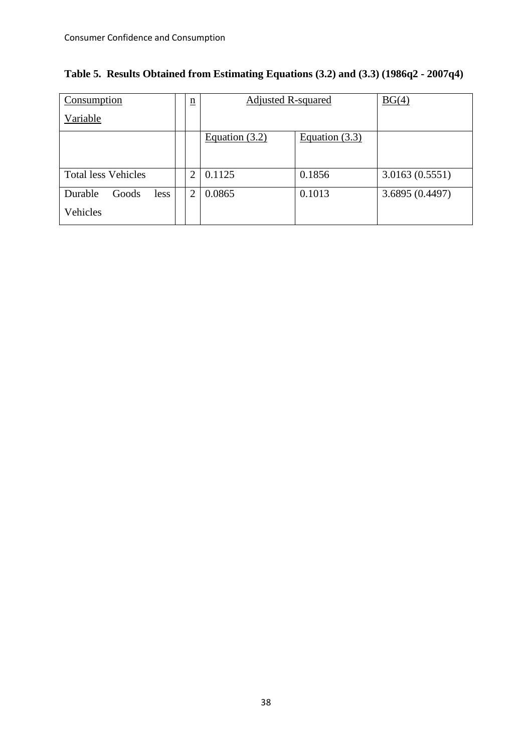| Consumption                | $\underline{n}$ | <b>Adjusted R-squared</b> |                  | BG(4)           |
|----------------------------|-----------------|---------------------------|------------------|-----------------|
| Variable                   |                 |                           |                  |                 |
|                            |                 | Equation $(3.2)$          | Equation $(3.3)$ |                 |
|                            |                 |                           |                  |                 |
| <b>Total less Vehicles</b> | 2               | 0.1125                    | 0.1856           | 3.0163(0.5551)  |
| Durable<br>Goods<br>less   | 2               | 0.0865                    | 0.1013           | 3.6895 (0.4497) |
| Vehicles                   |                 |                           |                  |                 |

|  | Table 5. Results Obtained from Estimating Equations (3.2) and (3.3) (1986q2 - 2007q4) |  |  |  |
|--|---------------------------------------------------------------------------------------|--|--|--|
|  |                                                                                       |  |  |  |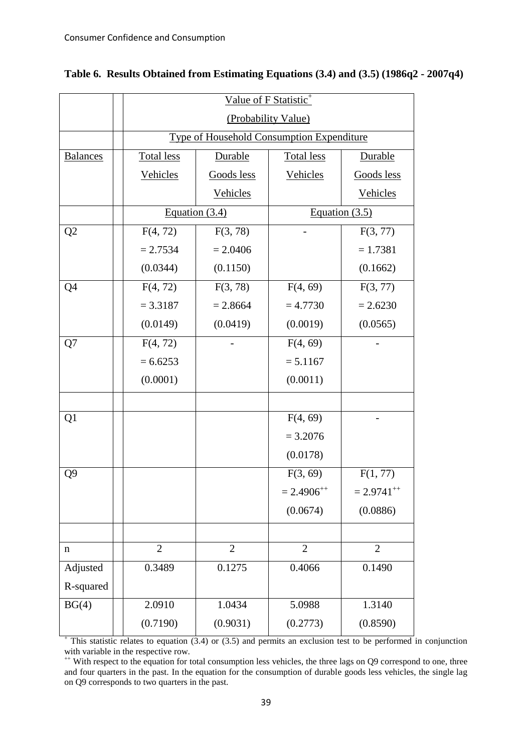|                 | Value of F Statistic <sup>+</sup>         |                     |                   |                  |  |  |  |  |
|-----------------|-------------------------------------------|---------------------|-------------------|------------------|--|--|--|--|
|                 |                                           | (Probability Value) |                   |                  |  |  |  |  |
|                 | Type of Household Consumption Expenditure |                     |                   |                  |  |  |  |  |
| <b>Balances</b> | <b>Total less</b>                         | Durable             | <b>Total less</b> | Durable          |  |  |  |  |
|                 | Vehicles                                  | Goods less          | Vehicles          | Goods less       |  |  |  |  |
|                 |                                           | Vehicles            |                   | Vehicles         |  |  |  |  |
|                 |                                           | Equation $(3.4)$    |                   | Equation $(3.5)$ |  |  |  |  |
| Q2              | F(4, 72)                                  | F(3, 78)            |                   | F(3, 77)         |  |  |  |  |
|                 | $= 2.7534$                                | $= 2.0406$          |                   | $= 1.7381$       |  |  |  |  |
|                 | (0.0344)                                  | (0.1150)            |                   | (0.1662)         |  |  |  |  |
| Q4              | F(4, 72)                                  | F(3, 78)            | F(4, 69)          | F(3, 77)         |  |  |  |  |
|                 | $= 3.3187$                                | $= 2.8664$          | $= 4.7730$        | $= 2.6230$       |  |  |  |  |
|                 | (0.0149)                                  | (0.0419)            | (0.0019)          | (0.0565)         |  |  |  |  |
| Q7              | F(4, 72)                                  |                     | F(4, 69)          |                  |  |  |  |  |
|                 | $= 6.6253$                                |                     | $= 5.1167$        |                  |  |  |  |  |
|                 | (0.0001)                                  |                     | (0.0011)          |                  |  |  |  |  |
|                 |                                           |                     |                   |                  |  |  |  |  |
| Q1              |                                           |                     | F(4, 69)          |                  |  |  |  |  |
|                 |                                           |                     | $= 3.2076$        |                  |  |  |  |  |
|                 |                                           |                     | (0.0178)          |                  |  |  |  |  |
| Q <sub>9</sub>  |                                           |                     | F(3, 69)          | F(1, 77)         |  |  |  |  |
|                 |                                           |                     | $= 2.4906^{++}$   | $= 2.9741^{++}$  |  |  |  |  |
|                 |                                           |                     | (0.0674)          | (0.0886)         |  |  |  |  |
|                 |                                           |                     |                   |                  |  |  |  |  |
| n               | $\overline{2}$                            | $\overline{2}$      | $\overline{2}$    | $\overline{2}$   |  |  |  |  |
| Adjusted        | 0.3489                                    | 0.1275              | 0.4066            | 0.1490           |  |  |  |  |
| R-squared       |                                           |                     |                   |                  |  |  |  |  |
| BG(4)           | 2.0910                                    | 1.0434              | 5.0988            | 1.3140           |  |  |  |  |
|                 | (0.7190)                                  | (0.9031)            | (0.2773)          | (0.8590)         |  |  |  |  |

|  |  |  |  | Table 6. Results Obtained from Estimating Equations (3.4) and (3.5) (1986q2 - 2007q4) |  |  |  |  |  |  |
|--|--|--|--|---------------------------------------------------------------------------------------|--|--|--|--|--|--|
|--|--|--|--|---------------------------------------------------------------------------------------|--|--|--|--|--|--|

+ This statistic relates to equation (3.4) or (3.5) and permits an exclusion test to be performed in conjunction with variable in the respective row.

<sup>++</sup> With respect to the equation for total consumption less vehicles, the three lags on Q9 correspond to one, three and four quarters in the past. In the equation for the consumption of durable goods less vehicles, the single lag on Q9 corresponds to two quarters in the past.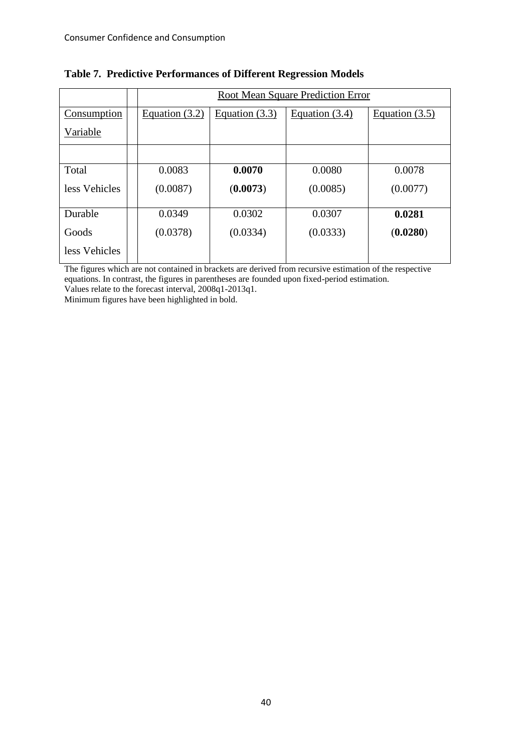|               | Root Mean Square Prediction Error |                  |                  |                  |  |  |  |
|---------------|-----------------------------------|------------------|------------------|------------------|--|--|--|
| Consumption   | Equation $(3.2)$                  | Equation $(3.3)$ | Equation $(3.4)$ | Equation $(3.5)$ |  |  |  |
| Variable      |                                   |                  |                  |                  |  |  |  |
|               |                                   |                  |                  |                  |  |  |  |
| Total         | 0.0083                            | 0.0070           | 0.0080           | 0.0078           |  |  |  |
| less Vehicles | (0.0087)                          | (0.0073)         | (0.0085)         | (0.0077)         |  |  |  |
| Durable       | 0.0349                            | 0.0302           | 0.0307           | 0.0281           |  |  |  |
| Goods         | (0.0378)                          | (0.0334)         | (0.0333)         | (0.0280)         |  |  |  |
| less Vehicles |                                   |                  |                  |                  |  |  |  |

## **Table 7. Predictive Performances of Different Regression Models**

The figures which are not contained in brackets are derived from recursive estimation of the respective equations. In contrast, the figures in parentheses are founded upon fixed-period estimation.

Values relate to the forecast interval, 2008q1-2013q1.

Minimum figures have been highlighted in bold.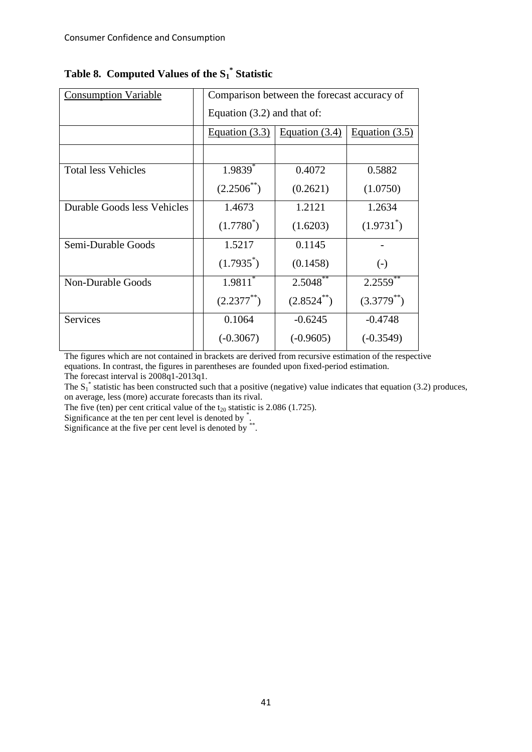| <b>Consumption Variable</b> | Comparison between the forecast accuracy of |                               |                  |  |  |  |  |  |
|-----------------------------|---------------------------------------------|-------------------------------|------------------|--|--|--|--|--|
|                             |                                             | Equation $(3.2)$ and that of: |                  |  |  |  |  |  |
|                             | Equation $(3.3)$                            | Equation $(3.4)$              | Equation $(3.5)$ |  |  |  |  |  |
|                             |                                             |                               |                  |  |  |  |  |  |
| <b>Total less Vehicles</b>  | $1.9839$ <sup>*</sup>                       | 0.4072                        | 0.5882           |  |  |  |  |  |
|                             | $(2.2506^{**})$                             | (0.2621)                      | (1.0750)         |  |  |  |  |  |
| Durable Goods less Vehicles | 1.4673                                      | 1.2121                        | 1.2634           |  |  |  |  |  |
|                             | $(1.7780^*)$                                | (1.6203)                      | $(1.9731^*)$     |  |  |  |  |  |
| Semi-Durable Goods          | 1.5217                                      | 0.1145                        |                  |  |  |  |  |  |
|                             | $(1.7935^*)$                                | (0.1458)                      | $(-)$            |  |  |  |  |  |
| <b>Non-Durable Goods</b>    | $1.9811$ <sup>*</sup>                       | $2.50\overline{48}^{**}$      | 2.2559           |  |  |  |  |  |
|                             | $(2.2377^{**})$                             | $(2.8524^{**})$               | $(3.3779^{**})$  |  |  |  |  |  |
| Services                    | 0.1064                                      | $-0.6245$                     | $-0.4748$        |  |  |  |  |  |
|                             | $(-0.3067)$                                 | $(-0.9605)$                   | $(-0.3549)$      |  |  |  |  |  |

# **Table 8. Computed Values of the S<sup>1</sup> \* Statistic**

The figures which are not contained in brackets are derived from recursive estimation of the respective equations. In contrast, the figures in parentheses are founded upon fixed-period estimation.

The forecast interval is 2008q1-2013q1.

The  $S_1^*$  statistic has been constructed such that a positive (negative) value indicates that equation (3.2) produces, on average, less (more) accurate forecasts than its rival.

The five (ten) per cent critical value of the  $t_{20}$  statistic is 2.086 (1.725).

Significance at the ten per cent level is denoted by \* .

Significance at the five per cent level is denoted by \*\* .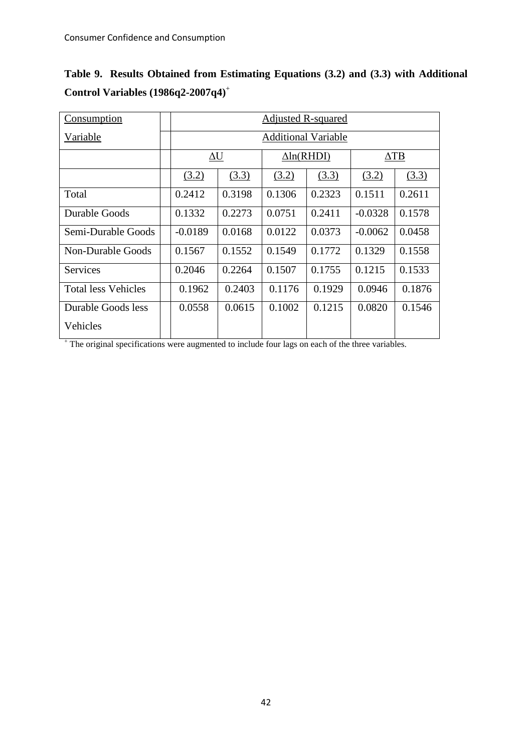|  |                                         | Table 9. Results Obtained from Estimating Equations (3.2) and (3.3) with Additional |  |  |  |  |
|--|-----------------------------------------|-------------------------------------------------------------------------------------|--|--|--|--|
|  | Control Variables $(1986q^2-2007q^4)^+$ |                                                                                     |  |  |  |  |

| <b>Consumption</b>         | <b>Adjusted R-squared</b>  |            |        |                   |           |             |  |  |
|----------------------------|----------------------------|------------|--------|-------------------|-----------|-------------|--|--|
| Variable                   | <b>Additional Variable</b> |            |        |                   |           |             |  |  |
|                            |                            | $\Delta U$ |        | $\Delta$ ln(RHDI) |           | $\Delta$ TB |  |  |
|                            | (3.2)                      | (3.3)      | (3.2)  | (3.3)             | (3.2)     | (3.3)       |  |  |
| Total                      | 0.2412                     | 0.3198     | 0.1306 | 0.2323            | 0.1511    | 0.2611      |  |  |
| Durable Goods              | 0.1332                     | 0.2273     | 0.0751 | 0.2411            | $-0.0328$ | 0.1578      |  |  |
| Semi-Durable Goods         | $-0.0189$                  | 0.0168     | 0.0122 | 0.0373            | $-0.0062$ | 0.0458      |  |  |
| Non-Durable Goods          | 0.1567                     | 0.1552     | 0.1549 | 0.1772            | 0.1329    | 0.1558      |  |  |
| <b>Services</b>            | 0.2046                     | 0.2264     | 0.1507 | 0.1755            | 0.1215    | 0.1533      |  |  |
| <b>Total less Vehicles</b> | 0.1962                     | 0.2403     | 0.1176 | 0.1929            | 0.0946    | 0.1876      |  |  |
| Durable Goods less         | 0.0558                     | 0.0615     | 0.1002 | 0.1215            | 0.0820    | 0.1546      |  |  |
| Vehicles                   |                            |            |        |                   |           |             |  |  |

+ The original specifications were augmented to include four lags on each of the three variables.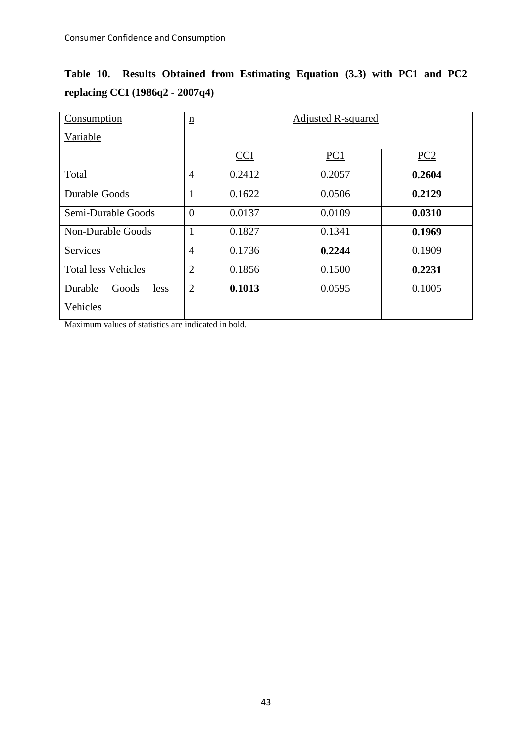| Consumption                | $\underline{n}$ | <b>Adjusted R-squared</b> |                 |                 |  |
|----------------------------|-----------------|---------------------------|-----------------|-----------------|--|
| Variable                   |                 |                           |                 |                 |  |
|                            |                 | <b>CCI</b>                | PC <sub>1</sub> | PC <sub>2</sub> |  |
| Total                      | $\overline{4}$  | 0.2412                    | 0.2057          | 0.2604          |  |
| Durable Goods              | $\mathbf{1}$    | 0.1622                    | 0.0506          | 0.2129          |  |
| Semi-Durable Goods         | $\overline{0}$  | 0.0137                    | 0.0109          | 0.0310          |  |
| Non-Durable Goods          | 1               | 0.1827                    | 0.1341          | 0.1969          |  |
| <b>Services</b>            | $\overline{4}$  | 0.1736                    | 0.2244          | 0.1909          |  |
| <b>Total less Vehicles</b> | $\overline{2}$  | 0.1856                    | 0.1500          | 0.2231          |  |
| Durable<br>Goods<br>less   | $\overline{2}$  | 0.1013                    | 0.0595          | 0.1005          |  |
| Vehicles                   |                 |                           |                 |                 |  |

**Table 10. Results Obtained from Estimating Equation (3.3) with PC1 and PC2 replacing CCI (1986q2 - 2007q4)**

Maximum values of statistics are indicated in bold.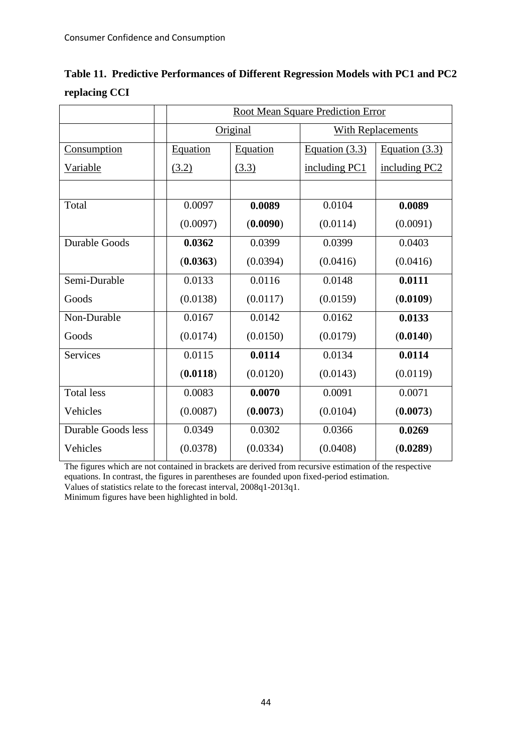|               | Table 11. Predictive Performances of Different Regression Models with PC1 and PC2 |
|---------------|-----------------------------------------------------------------------------------|
| replacing CCI |                                                                                   |

|                      | <b>Root Mean Square Prediction Error</b> |          |                  |                          |  |  |
|----------------------|------------------------------------------|----------|------------------|--------------------------|--|--|
|                      |                                          | Original |                  | <b>With Replacements</b> |  |  |
| Consumption          | <b>Equation</b>                          | Equation | Equation $(3.3)$ | Equation $(3.3)$         |  |  |
| Variable             | (3.2)                                    | (3.3)    | including PC1    | including PC2            |  |  |
|                      |                                          |          |                  |                          |  |  |
| Total                | 0.0097                                   | 0.0089   | 0.0104           | 0.0089                   |  |  |
|                      | (0.0097)                                 | (0.0090) | (0.0114)         | (0.0091)                 |  |  |
| <b>Durable Goods</b> | 0.0362                                   | 0.0399   | 0.0399           | 0.0403                   |  |  |
|                      | (0.0363)                                 | (0.0394) | (0.0416)         | (0.0416)                 |  |  |
| Semi-Durable         | 0.0133                                   | 0.0116   | 0.0148           | 0.0111                   |  |  |
| Goods                | (0.0138)                                 | (0.0117) | (0.0159)         | (0.0109)                 |  |  |
| Non-Durable          | 0.0167                                   | 0.0142   | 0.0162           | 0.0133                   |  |  |
| Goods                | (0.0174)                                 | (0.0150) | (0.0179)         | (0.0140)                 |  |  |
| Services             | 0.0115                                   | 0.0114   | 0.0134           | 0.0114                   |  |  |
|                      | (0.0118)                                 | (0.0120) | (0.0143)         | (0.0119)                 |  |  |
| <b>Total less</b>    | 0.0083                                   | 0.0070   | 0.0091           | 0.0071                   |  |  |
| Vehicles             | (0.0087)                                 | (0.0073) | (0.0104)         | (0.0073)                 |  |  |
| Durable Goods less   | 0.0349                                   | 0.0302   | 0.0366           | 0.0269                   |  |  |
| Vehicles             | (0.0378)                                 | (0.0334) | (0.0408)         | (0.0289)                 |  |  |

The figures which are not contained in brackets are derived from recursive estimation of the respective equations. In contrast, the figures in parentheses are founded upon fixed-period estimation.

Values of statistics relate to the forecast interval, 2008q1-2013q1.

Minimum figures have been highlighted in bold.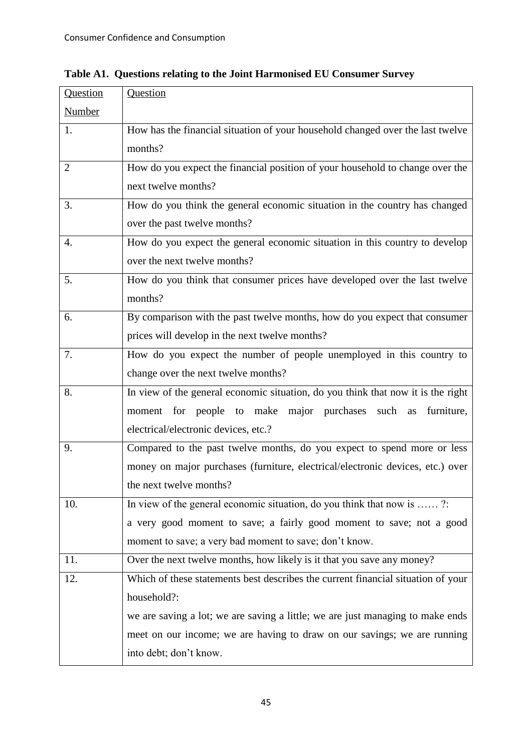| Question       | Question                                                                         |
|----------------|----------------------------------------------------------------------------------|
| <b>Number</b>  |                                                                                  |
| 1.             | How has the financial situation of your household changed over the last twelve   |
|                | months?                                                                          |
| $\overline{2}$ | How do you expect the financial position of your household to change over the    |
|                | next twelve months?                                                              |
| 3.             | How do you think the general economic situation in the country has changed       |
|                | over the past twelve months?                                                     |
| 4.             | How do you expect the general economic situation in this country to develop      |
|                | over the next twelve months?                                                     |
| 5.             | How do you think that consumer prices have developed over the last twelve        |
|                | months?                                                                          |
| 6.             | By comparison with the past twelve months, how do you expect that consumer       |
|                | prices will develop in the next twelve months?                                   |
| 7.             | How do you expect the number of people unemployed in this country to             |
|                | change over the next twelve months?                                              |
| 8.             | In view of the general economic situation, do you think that now it is the right |
|                | moment for people to make major purchases<br>furniture,<br>such<br>as            |
|                | electrical/electronic devices, etc.?                                             |
| 9.             | Compared to the past twelve months, do you expect to spend more or less          |
|                | money on major purchases (furniture, electrical/electronic devices, etc.) over   |
|                | the next twelve months?                                                          |
| 10.            | In view of the general economic situation, do you think that now is ?            |
|                | a very good moment to save; a fairly good moment to save; not a good             |
|                | moment to save; a very bad moment to save; don't know.                           |
| 11.            | Over the next twelve months, how likely is it that you save any money?           |
| 12.            | Which of these statements best describes the current financial situation of your |
|                | household?:                                                                      |
|                | we are saving a lot; we are saving a little; we are just managing to make ends   |
|                | meet on our income; we are having to draw on our savings; we are running         |
|                | into debt; don't know.                                                           |
|                |                                                                                  |

**Table A1. Questions relating to the Joint Harmonised EU Consumer Survey**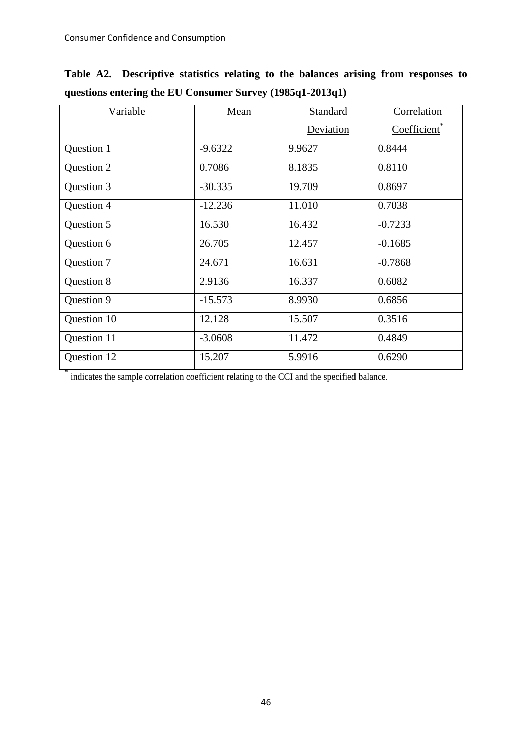**\***

| <b>Variable</b> | Mean      | Standard  | Correlation              |
|-----------------|-----------|-----------|--------------------------|
|                 |           | Deviation | Coefficient <sup>*</sup> |
| Question 1      | $-9.6322$ | 9.9627    | 0.8444                   |
| Question 2      | 0.7086    | 8.1835    | 0.8110                   |
| Question 3      | $-30.335$ | 19.709    | 0.8697                   |
| Question 4      | $-12.236$ | 11.010    | 0.7038                   |
| Question 5      | 16.530    | 16.432    | $-0.7233$                |
| Question 6      | 26.705    | 12.457    | $-0.1685$                |
| Question 7      | 24.671    | 16.631    | $-0.7868$                |
| Question 8      | 2.9136    | 16.337    | 0.6082                   |
| Question 9      | $-15.573$ | 8.9930    | 0.6856                   |
| Question 10     | 12.128    | 15.507    | 0.3516                   |
| Question 11     | $-3.0608$ | 11.472    | 0.4849                   |
| Question 12     | 15.207    | 5.9916    | 0.6290                   |

**Table A2. Descriptive statistics relating to the balances arising from responses to questions entering the EU Consumer Survey (1985q1-2013q1)** 

indicates the sample correlation coefficient relating to the CCI and the specified balance.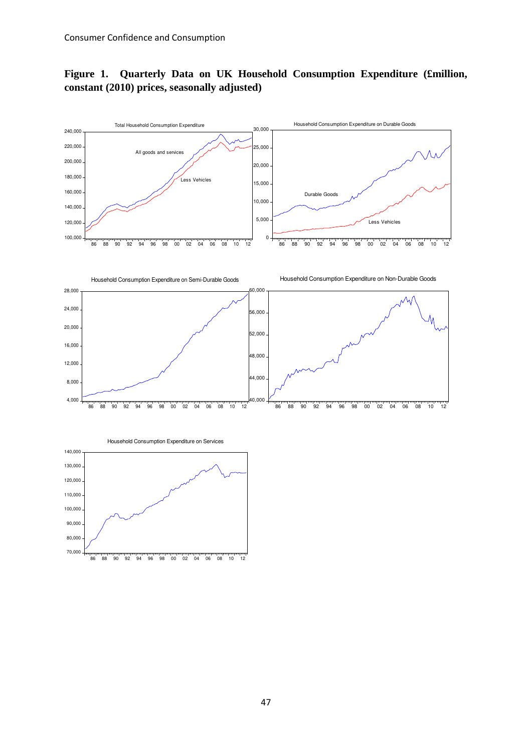# **Figure 1. Quarterly Data on UK Household Consumption Expenditure (£million, constant (2010) prices, seasonally adjusted)**



86 88 90 92 94 96 98 00 02 04 06 08 10 12